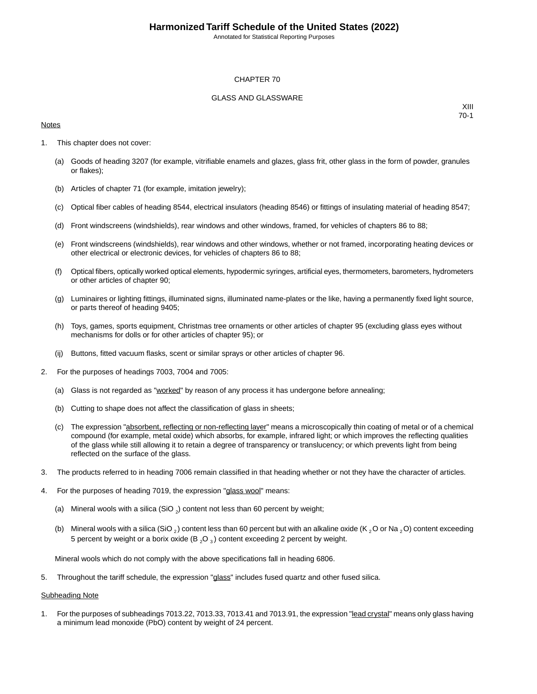Annotated for Statistical Reporting Purposes

#### CHAPTER 70

#### GLASS AND GLASSWARE

#### **Notes**

XIII 70-1

- 1. This chapter does not cover:
	- (a) Goods of heading 3207 (for example, vitrifiable enamels and glazes, glass frit, other glass in the form of powder, granules or flakes);
	- (b) Articles of chapter 71 (for example, imitation jewelry);
	- (c) Optical fiber cables of heading 8544, electrical insulators (heading 8546) or fittings of insulating material of heading 8547;
	- (d) Front windscreens (windshields), rear windows and other windows, framed, for vehicles of chapters 86 to 88;
	- (e) Front windscreens (windshields), rear windows and other windows, whether or not framed, incorporating heating devices or other electrical or electronic devices, for vehicles of chapters 86 to 88;
	- (f) Optical fibers, optically worked optical elements, hypodermic syringes, artificial eyes, thermometers, barometers, hydrometers or other articles of chapter 90;
	- (g) Luminaires or lighting fittings, illuminated signs, illuminated name-plates or the like, having a permanently fixed light source, or parts thereof of heading 9405;
	- (h) Toys, games, sports equipment, Christmas tree ornaments or other articles of chapter 95 (excluding glass eyes without mechanisms for dolls or for other articles of chapter 95); or
	- (ij) Buttons, fitted vacuum flasks, scent or similar sprays or other articles of chapter 96.
- 2. For the purposes of headings 7003, 7004 and 7005:
	- (a) Glass is not regarded as "worked" by reason of any process it has undergone before annealing;
	- (b) Cutting to shape does not affect the classification of glass in sheets;
	- (c) The expression "absorbent, reflecting or non-reflecting layer" means a microscopically thin coating of metal or of a chemical compound (for example, metal oxide) which absorbs, for example, infrared light; or which improves the reflecting qualities of the glass while still allowing it to retain a degree of transparency or translucency; or which prevents light from being reflected on the surface of the glass.
- 3. The products referred to in heading 7006 remain classified in that heading whether or not they have the character of articles.
- 4. For the purposes of heading 7019, the expression "glass wool" means:
	- (a) Mineral wools with a silica (SiO  $_2$ ) content not less than 60 percent by weight;
	- (b) Mineral wools with a silica (SiO <sub>2</sub>) content less than 60 percent but with an alkaline oxide (K <sub>2</sub> O or Na <sub>2</sub> O) content exceeding 5 percent by weight or a borix oxide (B  ${_2}O_{3}$ ) content exceeding 2 percent by weight.

Mineral wools which do not comply with the above specifications fall in heading 6806.

5. Throughout the tariff schedule, the expression "glass" includes fused quartz and other fused silica.

#### Subheading Note

1. For the purposes of subheadings 7013.22, 7013.33, 7013.41 and 7013.91, the expression "lead crystal" means only glass having a minimum lead monoxide (PbO) content by weight of 24 percent.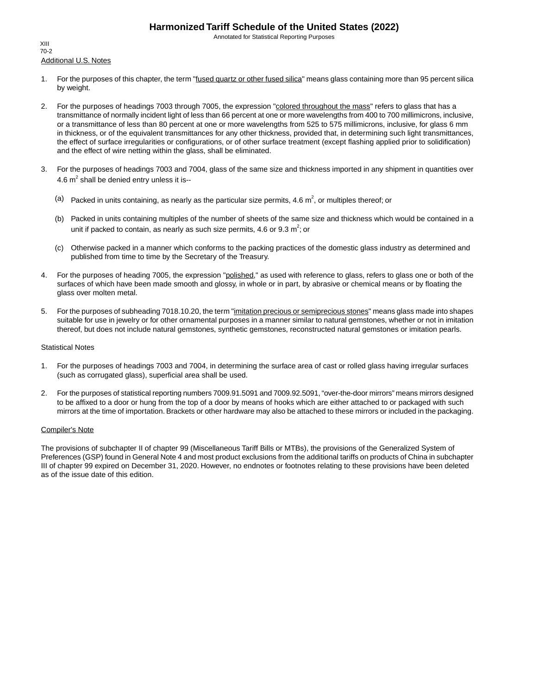Annotated for Statistical Reporting Purposes

Additional U.S. Notes XIII 70-2

- 1. For the purposes of this chapter, the term "fused quartz or other fused silica" means glass containing more than 95 percent silica by weight.
- 2. For the purposes of headings 7003 through 7005, the expression "colored throughout the mass" refers to glass that has a transmittance of normally incident light of less than 66 percent at one or more wavelengths from 400 to 700 millimicrons, inclusive, or a transmittance of less than 80 percent at one or more wavelengths from 525 to 575 millimicrons, inclusive, for glass 6 mm in thickness, or of the equivalent transmittances for any other thickness, provided that, in determining such light transmittances, the effect of surface irregularities or configurations, or of other surface treatment (except flashing applied prior to solidification) and the effect of wire netting within the glass, shall be eliminated.
- 3. For the purposes of headings 7003 and 7004, glass of the same size and thickness imported in any shipment in quantities over 4.6  $m^2$  shall be denied entry unless it is--
	- (a) Packed in units containing, as nearly as the particular size permits, 4.6  $m^2$ , or multiples thereof; or
	- (b) Packed in units containing multiples of the number of sheets of the same size and thickness which would be contained in a unit if packed to contain, as nearly as such size permits, 4.6 or 9.3  $m^2$ ; or
	- (c) Otherwise packed in a manner which conforms to the packing practices of the domestic glass industry as determined and published from time to time by the Secretary of the Treasury.
- 4. For the purposes of heading 7005, the expression "polished," as used with reference to glass, refers to glass one or both of the surfaces of which have been made smooth and glossy, in whole or in part, by abrasive or chemical means or by floating the glass over molten metal.
- 5. For the purposes of subheading 7018.10.20, the term "imitation precious or semiprecious stones" means glass made into shapes suitable for use in jewelry or for other ornamental purposes in a manner similar to natural gemstones, whether or not in imitation thereof, but does not include natural gemstones, synthetic gemstones, reconstructed natural gemstones or imitation pearls.

#### Statistical Notes

- 1. For the purposes of headings 7003 and 7004, in determining the surface area of cast or rolled glass having irregular surfaces (such as corrugated glass), superficial area shall be used.
- 2. For the purposes of statistical reporting numbers 7009.91.5091 and 7009.92.5091, "over-the-door mirrors" means mirrors designed to be affixed to a door or hung from the top of a door by means of hooks which are either attached to or packaged with such mirrors at the time of importation. Brackets or other hardware may also be attached to these mirrors or included in the packaging.

#### Compiler's Note

The provisions of subchapter II of chapter 99 (Miscellaneous Tariff Bills or MTBs), the provisions of the Generalized System of Preferences (GSP) found in General Note 4 and most product exclusions from the additional tariffs on products of China in subchapter III of chapter 99 expired on December 31, 2020. However, no endnotes or footnotes relating to these provisions have been deleted as of the issue date of this edition.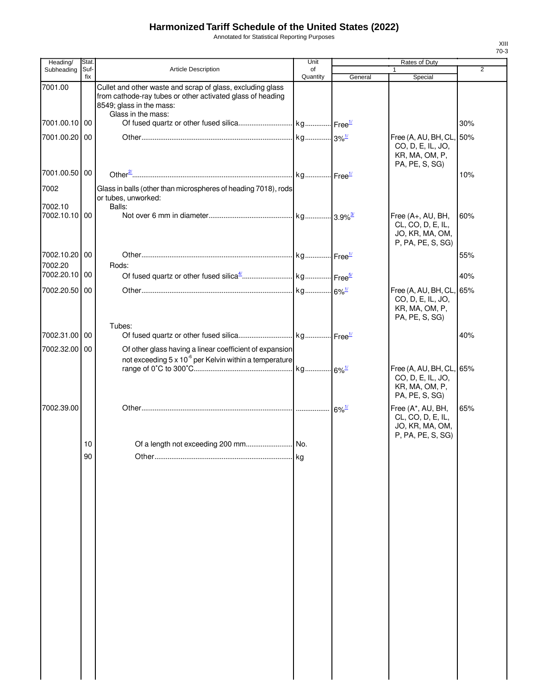Annotated for Statistical Reporting Purposes

| Heading/                    | Stat.       |                                                                                                                                                                            | Unit           |         | Rates of Duty                                                                     |                |
|-----------------------------|-------------|----------------------------------------------------------------------------------------------------------------------------------------------------------------------------|----------------|---------|-----------------------------------------------------------------------------------|----------------|
| Subheading                  | Suf-<br>fix | <b>Article Description</b>                                                                                                                                                 | of<br>Quantity | General | 1<br>Special                                                                      | $\overline{2}$ |
| 7001.00                     |             | Cullet and other waste and scrap of glass, excluding glass<br>from cathode-ray tubes or other activated glass of heading<br>8549; glass in the mass:<br>Glass in the mass: |                |         |                                                                                   |                |
| 7001.00.10 00               |             |                                                                                                                                                                            |                |         |                                                                                   | 30%            |
| 7001.00.20                  | 00          |                                                                                                                                                                            |                |         | Free (A, AU, BH, CL,<br>CO, D, E, IL, JO,<br>KR, MA, OM, P,<br>PA, PE, S, SG)     | 50%            |
| 7001.00.50                  | 00          |                                                                                                                                                                            |                |         |                                                                                   | 10%            |
| 7002<br>7002.10             |             | Glass in balls (other than microspheres of heading 7018), rods<br>or tubes, unworked:<br>Balls:                                                                            |                |         |                                                                                   |                |
| 7002.10.10 00               |             |                                                                                                                                                                            |                |         | Free (A+, AU, BH,<br>CL, CO, D, E, IL,<br>JO, KR, MA, OM,<br>P, PA, PE, S, SG)    | 60%            |
| 7002.10.20 00<br>7002.20    |             | Rods:                                                                                                                                                                      |                |         |                                                                                   | 55%            |
| 7002.20.10                  | 00          |                                                                                                                                                                            |                |         |                                                                                   | 40%            |
| 7002.20.50                  | 00          |                                                                                                                                                                            |                |         | Free (A, AU, BH, CL, 65%<br>CO, D, E, IL, JO,<br>KR, MA, OM, P,<br>PA, PE, S, SG) |                |
|                             |             | Tubes:                                                                                                                                                                     |                |         |                                                                                   |                |
| 7002.31.00 00<br>7002.32.00 | 00          | Of other glass having a linear coefficient of expansion                                                                                                                    |                |         |                                                                                   | 40%            |
|                             |             | not exceeding 5 x 10 <sup>-6</sup> per Kelvin within a temperature                                                                                                         |                |         | Free (A, AU, BH, CL, 65%<br>CO, D, E, IL, JO,<br>KR, MA, OM, P,<br>PA, PE, S, SG) |                |
| 7002.39.00                  |             |                                                                                                                                                                            |                |         | Free (A*, AU, BH,<br>CL, CO, D, E, IL,<br>JO, KR, MA, OM,<br>P, PA, PE, S, SG)    | 65%            |
|                             | 10          |                                                                                                                                                                            |                |         |                                                                                   |                |
|                             | 90          |                                                                                                                                                                            | kg             |         |                                                                                   |                |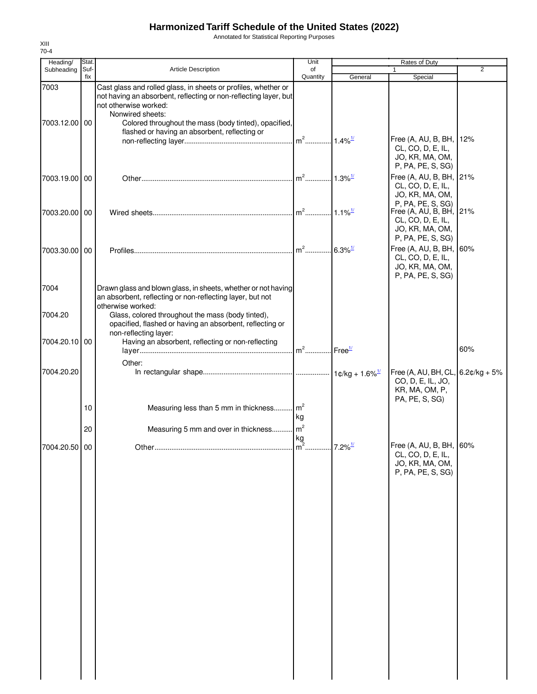Annotated for Statistical Reporting Purposes

| Heading/                 | Stat.       |                                                                                                                                                                                                                                          | Unit                  |                         | Rates of Duty                                                                                |                |
|--------------------------|-------------|------------------------------------------------------------------------------------------------------------------------------------------------------------------------------------------------------------------------------------------|-----------------------|-------------------------|----------------------------------------------------------------------------------------------|----------------|
| Subheading               | Suf-<br>fix | Article Description                                                                                                                                                                                                                      | of<br>Quantity        | General                 | Special                                                                                      | $\overline{2}$ |
| 7003<br>7003.12.00 00    |             | Cast glass and rolled glass, in sheets or profiles, whether or<br>not having an absorbent, reflecting or non-reflecting layer, but<br>not otherwise worked:<br>Nonwired sheets:<br>Colored throughout the mass (body tinted), opacified, |                       |                         |                                                                                              |                |
|                          |             | flashed or having an absorbent, reflecting or                                                                                                                                                                                            | $m2$                  | $1.4\%$ <sup>1/</sup>   | Free (A, AU, B, BH, 12%<br>CL, CO, D, E, IL,<br>JO, KR, MA, OM,<br>P, PA, PE, S, SG)         |                |
| 7003.19.00 00            |             |                                                                                                                                                                                                                                          |                       | $.11.3\%$ <sup>1/</sup> | Free (A, AU, B, BH, 21%<br>CL, CO, D, E, IL,<br>JO, KR, MA, OM,<br>P, PA, PE, S, SG)         |                |
| 7003.20.00 00            |             |                                                                                                                                                                                                                                          |                       | $1.1\%$ <sup>1/</sup>   | Free (A, AU, B, BH, 21%<br>CL, CO, D, E, IL,<br>JO, KR, MA, OM,<br>P, PA, PE, S, SG)         |                |
| 7003.30.00 00            |             |                                                                                                                                                                                                                                          |                       | $.6.3\%$ <sup>1/</sup>  | Free (A, AU, B, BH, 60%<br>CL, CO, D, E, IL,<br>JO, KR, MA, OM,<br>P, PA, PE, S, SG)         |                |
| 7004                     |             | Drawn glass and blown glass, in sheets, whether or not having<br>an absorbent, reflecting or non-reflecting layer, but not<br>otherwise worked:                                                                                          |                       |                         |                                                                                              |                |
| 7004.20<br>7004.20.10 00 |             | Glass, colored throughout the mass (body tinted),<br>opacified, flashed or having an absorbent, reflecting or<br>non-reflecting layer:<br>Having an absorbent, reflecting or non-reflecting                                              |                       |                         |                                                                                              |                |
|                          |             | Other:                                                                                                                                                                                                                                   | $m2$                  | Free <sup>1/</sup>      |                                                                                              | 60%            |
| 7004.20.20               |             |                                                                                                                                                                                                                                          |                       |                         | Free (A, AU, BH, CL, $6.2¢/kg + 5%$<br>CO, D, E, IL, JO,<br>KR, MA, OM, P,<br>PA, PE, S, SG) |                |
|                          | 10<br>20    | Measuring less than 5 mm in thickness m <sup>2</sup><br>Measuring 5 mm and over in thickness                                                                                                                                             | kg<br>m <sup>2</sup>  |                         |                                                                                              |                |
| 7004.20.50 00            |             | Other                                                                                                                                                                                                                                    | kg<br>$\mathsf{Im}^2$ | $7.2\%$ <sup>1/</sup>   | Free (A, AU, B, BH, 60%<br>CL, CO, D, E, IL,<br>JO, KR, MA, OM,                              |                |
|                          |             |                                                                                                                                                                                                                                          |                       |                         | P, PA, PE, S, SG)                                                                            |                |
|                          |             |                                                                                                                                                                                                                                          |                       |                         |                                                                                              |                |
|                          |             |                                                                                                                                                                                                                                          |                       |                         |                                                                                              |                |
|                          |             |                                                                                                                                                                                                                                          |                       |                         |                                                                                              |                |
|                          |             |                                                                                                                                                                                                                                          |                       |                         |                                                                                              |                |
|                          |             |                                                                                                                                                                                                                                          |                       |                         |                                                                                              |                |
|                          |             |                                                                                                                                                                                                                                          |                       |                         |                                                                                              |                |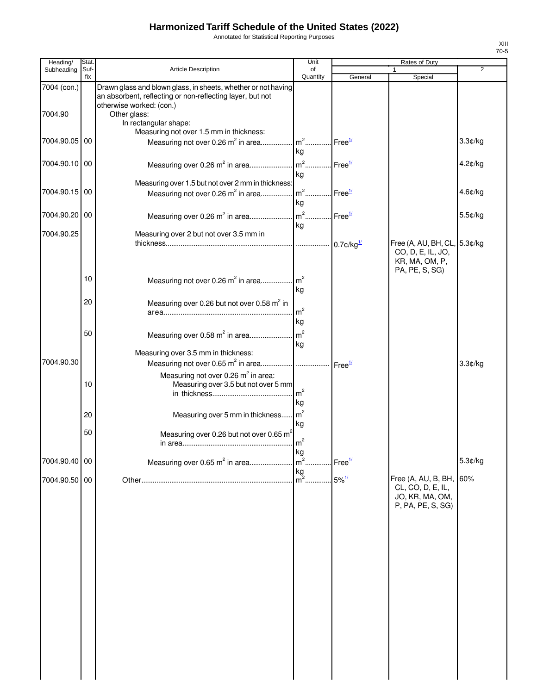Annotated for Statistical Reporting Purposes

| Heading/      | Stat.       |                                                                                                                            | Unit                                                  |                     | Rates of Duty                                                                      |                |
|---------------|-------------|----------------------------------------------------------------------------------------------------------------------------|-------------------------------------------------------|---------------------|------------------------------------------------------------------------------------|----------------|
| Subheading    | Suf-<br>fix | Article Description                                                                                                        | of                                                    |                     |                                                                                    | $\overline{2}$ |
| 7004 (con.)   |             | Drawn glass and blown glass, in sheets, whether or not having<br>an absorbent, reflecting or non-reflecting layer, but not | Quantity                                              | General             | Special                                                                            |                |
| 7004.90       |             | otherwise worked: (con.)<br>Other glass:<br>In rectangular shape:<br>Measuring not over 1.5 mm in thickness:               |                                                       |                     |                                                                                    |                |
| 7004.90.05    | 00          | Measuring not over 0.26 m <sup>2</sup> in area                                                                             | m <sup>2</sup> Free <sup>1/</sup><br>kg               |                     |                                                                                    | 3.3¢/kg        |
| 7004.90.10 00 |             | Measuring over 0.26 m <sup>2</sup> in area                                                                                 | $m2$ .<br>.<br>kg                                     | Free <sup>1/</sup>  |                                                                                    | 4.2¢/kg        |
| 7004.90.15 00 |             | Measuring over 1.5 but not over 2 mm in thickness:<br>Measuring not over 0.26 m <sup>2</sup> in area                       | $\lfloor m^2 \rfloor$ Free $\frac{1}{2}$<br>kg        |                     |                                                                                    | $4.6$ ¢/kg     |
| 7004.90.20    | 00          | Measuring over 0.26 m <sup>2</sup> in area                                                                                 | $\lfloor m^2 \ldots \rfloor$ Free $\frac{1}{2}$<br>kg |                     |                                                                                    | 5.5¢/kg        |
| 7004.90.25    |             | Measuring over 2 but not over 3.5 mm in                                                                                    |                                                       |                     | Free (A, AU, BH, CL, 5.3¢/kg<br>CO, D, E, IL, JO,                                  |                |
|               | 10          |                                                                                                                            |                                                       |                     | KR, MA, OM, P,<br>PA, PE, S, SG)                                                   |                |
|               | 20          |                                                                                                                            | kg                                                    |                     |                                                                                    |                |
|               |             | Measuring over 0.26 but not over 0.58 m <sup>2</sup> in                                                                    | m <sup>2</sup><br>kg                                  |                     |                                                                                    |                |
|               | 50          | Measuring over 0.58 m <sup>2</sup> in area                                                                                 | $\mathsf{Im}^2$<br>kg                                 |                     |                                                                                    |                |
| 7004.90.30    |             | Measuring over 3.5 mm in thickness:                                                                                        |                                                       |                     |                                                                                    | 3.3¢/kg        |
|               | 10          | Measuring not over 0.26 m <sup>2</sup> in area:<br>Measuring over 3.5 but not over 5 mm                                    | m <sup>2</sup><br>kg                                  |                     |                                                                                    |                |
|               | 20          | Measuring over 5 mm in thickness                                                                                           | m <sup>2</sup><br>kg                                  |                     |                                                                                    |                |
|               | 50          | Measuring over 0.26 but not over 0.65 $m^2$                                                                                | $\mathsf{Im}^2$                                       |                     |                                                                                    |                |
| 7004.90.40 00 |             | Measuring over 0.65 m <sup>2</sup> in area                                                                                 | kg<br>m <sup>2</sup><br>kg                            | Free <sup>1/</sup>  |                                                                                    | 5.3¢/kg        |
| 7004.90.50    | 00          |                                                                                                                            | $\overline{\mathsf{m}}^2$                             | $5\%$ <sup>1/</sup> | Free $(A, AU, B, BH,$<br>CL, CO, D, E, IL,<br>JO, KR, MA, OM,<br>P, PA, PE, S, SG) | 60%            |
|               |             |                                                                                                                            |                                                       |                     |                                                                                    |                |
|               |             |                                                                                                                            |                                                       |                     |                                                                                    |                |
|               |             |                                                                                                                            |                                                       |                     |                                                                                    |                |
|               |             |                                                                                                                            |                                                       |                     |                                                                                    |                |
|               |             |                                                                                                                            |                                                       |                     |                                                                                    |                |
|               |             |                                                                                                                            |                                                       |                     |                                                                                    |                |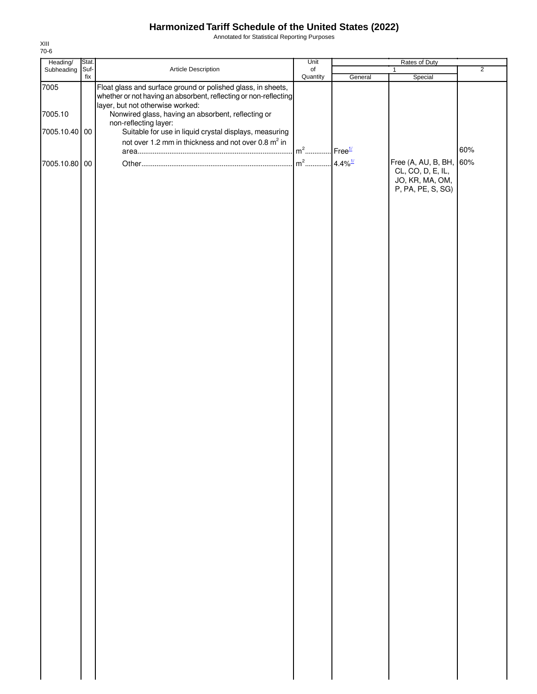Annotated for Statistical Reporting Purposes

| Heading/        | Stat.       |                                                                                                                                                                                                                            | Unit                              |         | Rates of Duty                                             |                |
|-----------------|-------------|----------------------------------------------------------------------------------------------------------------------------------------------------------------------------------------------------------------------------|-----------------------------------|---------|-----------------------------------------------------------|----------------|
| Subheading      | Suf-<br>fix | Article Description                                                                                                                                                                                                        | $\circ$ f<br>Quantity             | General | 1<br>Special                                              | $\overline{2}$ |
| 7005<br>7005.10 |             | Float glass and surface ground or polished glass, in sheets,<br>whether or not having an absorbent, reflecting or non-reflecting<br>layer, but not otherwise worked:<br>Nonwired glass, having an absorbent, reflecting or |                                   |         |                                                           |                |
|                 |             | non-reflecting layer:                                                                                                                                                                                                      |                                   |         |                                                           |                |
| 7005.10.40 00   |             | Suitable for use in liquid crystal displays, measuring<br>not over 1.2 mm in thickness and not over 0.8 m <sup>2</sup> in                                                                                                  |                                   |         |                                                           |                |
|                 |             |                                                                                                                                                                                                                            | m <sup>2</sup> Free <sup>1/</sup> |         |                                                           | 60%            |
| 7005.10.80 00   |             |                                                                                                                                                                                                                            |                                   |         | Free (A, AU, B, BH, 60%                                   |                |
|                 |             |                                                                                                                                                                                                                            |                                   |         | CL, CO, D, E, IL,<br>JO, KR, MA, OM,<br>P, PA, PE, S, SG) |                |
|                 |             |                                                                                                                                                                                                                            |                                   |         |                                                           |                |
|                 |             |                                                                                                                                                                                                                            |                                   |         |                                                           |                |
|                 |             |                                                                                                                                                                                                                            |                                   |         |                                                           |                |
|                 |             |                                                                                                                                                                                                                            |                                   |         |                                                           |                |
|                 |             |                                                                                                                                                                                                                            |                                   |         |                                                           |                |
|                 |             |                                                                                                                                                                                                                            |                                   |         |                                                           |                |
|                 |             |                                                                                                                                                                                                                            |                                   |         |                                                           |                |
|                 |             |                                                                                                                                                                                                                            |                                   |         |                                                           |                |
|                 |             |                                                                                                                                                                                                                            |                                   |         |                                                           |                |
|                 |             |                                                                                                                                                                                                                            |                                   |         |                                                           |                |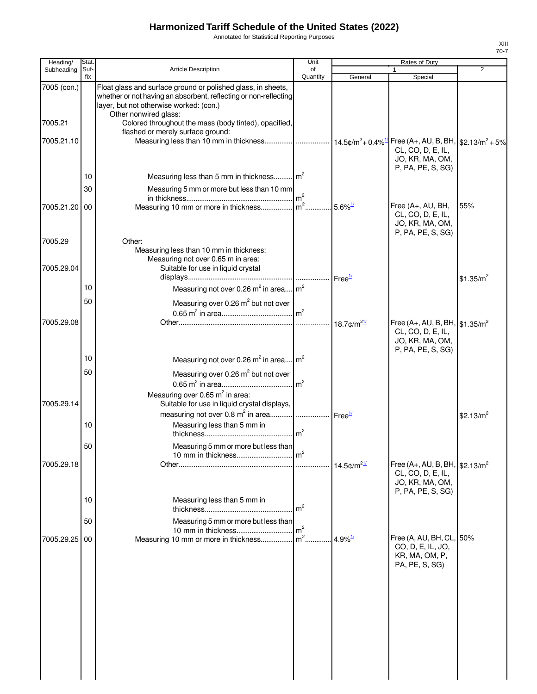Annotated for Statistical Reporting Purposes

| Heading/              | Stat.       |                                                                                                                                                                                                      | Unit           |                       | Rates of Duty                                                                                           |                       |
|-----------------------|-------------|------------------------------------------------------------------------------------------------------------------------------------------------------------------------------------------------------|----------------|-----------------------|---------------------------------------------------------------------------------------------------------|-----------------------|
| Subheading            | Suf-<br>fix | <b>Article Description</b>                                                                                                                                                                           | of<br>Quantity | General               | $\mathbf{1}$<br>Special                                                                                 | $\overline{2}$        |
| 7005 (con.)           |             | Float glass and surface ground or polished glass, in sheets,<br>whether or not having an absorbent, reflecting or non-reflecting<br>layer, but not otherwise worked: (con.)<br>Other nonwired glass: |                |                       |                                                                                                         |                       |
| 7005.21               |             | Colored throughout the mass (body tinted), opacified,<br>flashed or merely surface ground:                                                                                                           |                |                       |                                                                                                         |                       |
| 7005.21.10            |             | Measuring less than 10 mm in thickness  14.5¢/m <sup>2</sup> + 0.4% <sup>1/</sup>   Free (A+, AU, B, BH,  \$2.13/m <sup>2</sup> + 5%                                                                 |                |                       | CL, CO, D, E, IL,<br>JO, KR, MA, OM,                                                                    |                       |
|                       | 10          | Measuring less than 5 mm in thickness m <sup>2</sup>                                                                                                                                                 |                |                       | P, PA, PE, S, SG)                                                                                       |                       |
|                       | 30          | Measuring 5 mm or more but less than 10 mm                                                                                                                                                           |                |                       |                                                                                                         |                       |
| 7005.21.20 00         |             |                                                                                                                                                                                                      |                |                       | Free (A+, AU, BH,<br>CL, CO, D, E, IL,<br>JO, KR, MA, OM,<br>P, PA, PE, S, SG)                          | 55%                   |
| 7005.29<br>7005.29.04 |             | Other:<br>Measuring less than 10 mm in thickness:<br>Measuring not over 0.65 m in area:<br>Suitable for use in liquid crystal                                                                        |                |                       |                                                                                                         |                       |
|                       | 10          |                                                                                                                                                                                                      |                | Free <sup>1/</sup>    |                                                                                                         | \$1.35/m <sup>2</sup> |
|                       | 50          | Measuring not over 0.26 $m^2$ in area $m^2$                                                                                                                                                          |                |                       |                                                                                                         |                       |
| 7005.29.08            |             |                                                                                                                                                                                                      |                |                       | Free (A+, AU, B, BH, $\frac{1}{91.35/m^2}$<br>CL, CO, D, E, IL,<br>JO, KR, MA, OM,<br>P, PA, PE, S, SG) |                       |
|                       | 10          | Measuring not over 0.26 $m^2$ in area $m^2$                                                                                                                                                          |                |                       |                                                                                                         |                       |
| 7005.29.14            | 50          | Measuring over 0.26 m <sup>2</sup> but not over<br>Measuring over 0.65 $m^2$ in area:<br>Suitable for use in liquid crystal displays,                                                                |                |                       |                                                                                                         |                       |
|                       | 10          | measuring not over 0.8 $m^2$ in area   Free <sup>11</sup><br>Measuring less than 5 mm in                                                                                                             |                |                       |                                                                                                         | \$2.13/ $m^2$         |
|                       | 50          | Measuring 5 mm or more but less than                                                                                                                                                                 | m <sup>2</sup> |                       |                                                                                                         |                       |
| 7005.29.18            |             |                                                                                                                                                                                                      |                |                       | Free (A+, AU, B, BH, $$2.13/m^2$<br>CL, CO, D, E, IL,<br>JO, KR, MA, OM,<br>P, PA, PE, S, SG)           |                       |
|                       | 10          | Measuring less than 5 mm in                                                                                                                                                                          | m <sup>2</sup> |                       |                                                                                                         |                       |
|                       | 50          | Measuring 5 mm or more but less than                                                                                                                                                                 | m <sup>2</sup> |                       |                                                                                                         |                       |
| 7005.29.25 00         |             | Measuring 10 mm or more in thickness                                                                                                                                                                 | $m2$ .         | $4.9\%$ <sup>1/</sup> | Free (A, AU, BH, CL, 50%<br>CO, D, E, IL, JO,<br>KR, MA, OM, P,<br>PA, PE, S, SG)                       |                       |
|                       |             |                                                                                                                                                                                                      |                |                       |                                                                                                         |                       |
|                       |             |                                                                                                                                                                                                      |                |                       |                                                                                                         |                       |
|                       |             |                                                                                                                                                                                                      |                |                       |                                                                                                         |                       |
|                       |             |                                                                                                                                                                                                      |                |                       |                                                                                                         |                       |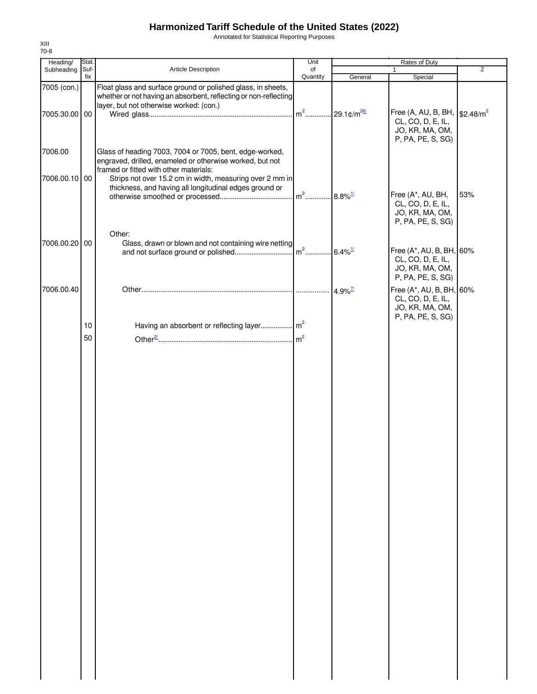Annotated for Statistical Reporting Purposes

| Heading/      | Stat.       |                                                                                                                                                               | Unit     |                       | Rates of Duty                                                                                            |                |
|---------------|-------------|---------------------------------------------------------------------------------------------------------------------------------------------------------------|----------|-----------------------|----------------------------------------------------------------------------------------------------------|----------------|
| Subheading    | Suf-<br>fix | Article Description                                                                                                                                           | of       |                       |                                                                                                          | $\overline{2}$ |
| 7005 (con.)   |             | Float glass and surface ground or polished glass, in sheets,<br>whether or not having an absorbent, reflecting or non-reflecting                              | Quantity | General               | Special                                                                                                  |                |
| 7005.30.00 00 |             | layer, but not otherwise worked: (con.)                                                                                                                       |          |                       | Free (A, AU, B, BH,   \$2.48/m <sup>2</sup><br>CL, CO, D, E, IL,<br>JO, KR, MA, OM,<br>P, PA, PE, S, SG) |                |
| 7006.00       |             | Glass of heading 7003, 7004 or 7005, bent, edge-worked,<br>engraved, drilled, enameled or otherwise worked, but not<br>framed or fitted with other materials: |          |                       |                                                                                                          |                |
| 7006.00.10 00 |             | Strips not over 15.2 cm in width, measuring over 2 mm in<br>thickness, and having all longitudinal edges ground or                                            |          |                       | Free (A*, AU, BH,<br>CL, CO, D, E, IL,                                                                   | 53%            |
|               |             | Other:                                                                                                                                                        |          |                       | JO, KR, MA, OM,<br>P, PA, PE, S, SG)                                                                     |                |
| 7006.00.20 00 |             | Glass, drawn or blown and not containing wire netting                                                                                                         |          |                       | Free (A*, AU, B, BH, 60%<br>CL, CO, D, E, IL,                                                            |                |
| 7006.00.40    |             |                                                                                                                                                               |          | $4.9\%$ <sup>7/</sup> | JO, KR, MA, OM,<br>P, PA, PE, S, SG)<br>Free (A*, AU, B, BH, 60%                                         |                |
|               |             |                                                                                                                                                               |          |                       | CL, CO, D, E, IL,<br>JO, KR, MA, OM,<br>P, PA, PE, S, SG)                                                |                |
|               | 10          |                                                                                                                                                               |          |                       |                                                                                                          |                |
|               | 50          |                                                                                                                                                               |          |                       |                                                                                                          |                |
|               |             |                                                                                                                                                               |          |                       |                                                                                                          |                |
|               |             |                                                                                                                                                               |          |                       |                                                                                                          |                |
|               |             |                                                                                                                                                               |          |                       |                                                                                                          |                |
|               |             |                                                                                                                                                               |          |                       |                                                                                                          |                |
|               |             |                                                                                                                                                               |          |                       |                                                                                                          |                |
|               |             |                                                                                                                                                               |          |                       |                                                                                                          |                |
|               |             |                                                                                                                                                               |          |                       |                                                                                                          |                |
|               |             |                                                                                                                                                               |          |                       |                                                                                                          |                |
|               |             |                                                                                                                                                               |          |                       |                                                                                                          |                |
|               |             |                                                                                                                                                               |          |                       |                                                                                                          |                |
|               |             |                                                                                                                                                               |          |                       |                                                                                                          |                |
|               |             |                                                                                                                                                               |          |                       |                                                                                                          |                |
|               |             |                                                                                                                                                               |          |                       |                                                                                                          |                |
|               |             |                                                                                                                                                               |          |                       |                                                                                                          |                |
|               |             |                                                                                                                                                               |          |                       |                                                                                                          |                |
|               |             |                                                                                                                                                               |          |                       |                                                                                                          |                |
|               |             |                                                                                                                                                               |          |                       |                                                                                                          |                |
|               |             |                                                                                                                                                               |          |                       |                                                                                                          |                |
|               |             |                                                                                                                                                               |          |                       |                                                                                                          |                |
|               |             |                                                                                                                                                               |          |                       |                                                                                                          |                |
|               |             |                                                                                                                                                               |          |                       |                                                                                                          |                |
|               |             |                                                                                                                                                               |          |                       |                                                                                                          |                |
|               |             |                                                                                                                                                               |          |                       |                                                                                                          |                |
|               |             |                                                                                                                                                               |          |                       |                                                                                                          |                |
|               |             |                                                                                                                                                               |          |                       |                                                                                                          |                |
|               |             |                                                                                                                                                               |          |                       |                                                                                                          |                |
|               |             |                                                                                                                                                               |          |                       |                                                                                                          |                |
|               |             |                                                                                                                                                               |          |                       |                                                                                                          |                |
|               |             |                                                                                                                                                               |          |                       |                                                                                                          |                |
|               |             |                                                                                                                                                               |          |                       |                                                                                                          |                |
|               |             |                                                                                                                                                               |          |                       |                                                                                                          |                |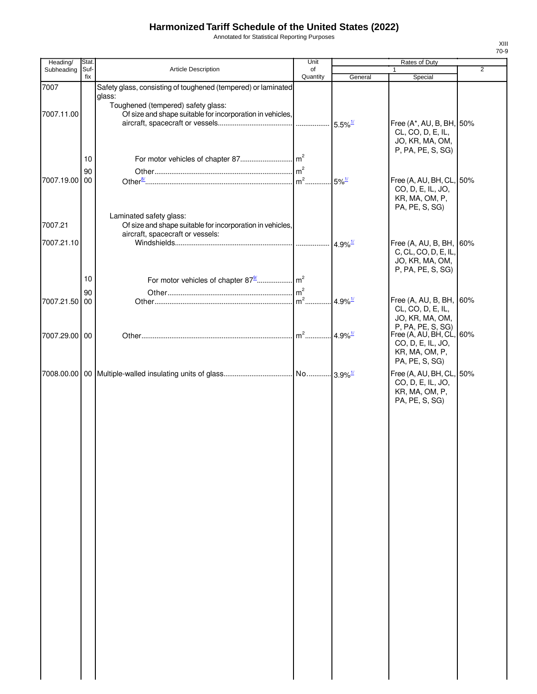Annotated for Statistical Reporting Purposes

| Heading/      | Stat. |                                                               | Unit           |                       | Rates of Duty                                   |                |
|---------------|-------|---------------------------------------------------------------|----------------|-----------------------|-------------------------------------------------|----------------|
| Subheading    | Suf-  | Article Description                                           | of             |                       | $\mathbf{1}$                                    | $\overline{2}$ |
|               | fix   |                                                               | Quantity       | General               | Special                                         |                |
| 7007          |       | Safety glass, consisting of toughened (tempered) or laminated |                |                       |                                                 |                |
|               |       | glass:<br>Toughened (tempered) safety glass:                  |                |                       |                                                 |                |
| 7007.11.00    |       | Of size and shape suitable for incorporation in vehicles,     |                |                       |                                                 |                |
|               |       |                                                               |                |                       | Free (A*, AU, B, BH, 50%                        |                |
|               |       |                                                               |                |                       | CL, CO, D, E, IL,                               |                |
|               |       |                                                               |                |                       | JO, KR, MA, OM,                                 |                |
|               |       |                                                               |                |                       | P, PA, PE, S, SG)                               |                |
|               | 10    | For motor vehicles of chapter 87                              | m <sup>2</sup> |                       |                                                 |                |
|               | 90    |                                                               | $\rm{Im}^2$    |                       |                                                 |                |
| 7007.19.00 00 |       |                                                               | $m2$ .         | $5\%$ <sup>1/</sup>   | Free (A, AU, BH, CL, 50%                        |                |
|               |       |                                                               |                |                       | CO, D, E, IL, JO,                               |                |
|               |       |                                                               |                |                       | KR, MA, OM, P,                                  |                |
|               |       |                                                               |                |                       | PA, PE, S, SG)                                  |                |
|               |       | Laminated safety glass:                                       |                |                       |                                                 |                |
| 7007.21       |       | Of size and shape suitable for incorporation in vehicles,     |                |                       |                                                 |                |
| 7007.21.10    |       | aircraft, spacecraft or vessels:                              |                |                       |                                                 |                |
|               |       |                                                               |                | 4.9% $\frac{1}{2}$    | Free (A, AU, B, BH, 60%<br>C, CL, CO, D, E, IL, |                |
|               |       |                                                               |                |                       | JO, KR, MA, OM,                                 |                |
|               |       |                                                               |                |                       | P, PA, PE, S, SG)                               |                |
|               | 10    |                                                               |                |                       |                                                 |                |
|               |       |                                                               | m <sup>2</sup> |                       |                                                 |                |
| 7007.21.50 00 | 90    |                                                               | $m2$           | $4.9\%$ <sup>1/</sup> | Free (A, AU, B, BH, 60%                         |                |
|               |       |                                                               |                |                       | CL, CO, D, E, IL,                               |                |
|               |       |                                                               |                |                       | JO, KR, MA, OM,                                 |                |
|               |       |                                                               |                |                       | P, PA, PE, S, SG)                               |                |
| 7007.29.00 00 |       |                                                               | $m2$           | 4.9% $\frac{1}{2}$    | Free (A, AU, BH, CL, 60%                        |                |
|               |       |                                                               |                |                       | CO, D, E, IL, JO,                               |                |
|               |       |                                                               |                |                       | KR, MA, OM, P,                                  |                |
|               |       |                                                               |                |                       | PA, PE, S, SG)                                  |                |
|               |       |                                                               |                |                       | Free (A, AU, BH, CL, 50%                        |                |
|               |       |                                                               |                |                       | CO, D, E, IL, JO,                               |                |
|               |       |                                                               |                |                       | KR, MA, OM, P,                                  |                |
|               |       |                                                               |                |                       | PA, PE, S, SG)                                  |                |
|               |       |                                                               |                |                       |                                                 |                |
|               |       |                                                               |                |                       |                                                 |                |
|               |       |                                                               |                |                       |                                                 |                |
|               |       |                                                               |                |                       |                                                 |                |
|               |       |                                                               |                |                       |                                                 |                |
|               |       |                                                               |                |                       |                                                 |                |
|               |       |                                                               |                |                       |                                                 |                |
|               |       |                                                               |                |                       |                                                 |                |
|               |       |                                                               |                |                       |                                                 |                |
|               |       |                                                               |                |                       |                                                 |                |
|               |       |                                                               |                |                       |                                                 |                |
|               |       |                                                               |                |                       |                                                 |                |
|               |       |                                                               |                |                       |                                                 |                |
|               |       |                                                               |                |                       |                                                 |                |
|               |       |                                                               |                |                       |                                                 |                |
|               |       |                                                               |                |                       |                                                 |                |
|               |       |                                                               |                |                       |                                                 |                |
|               |       |                                                               |                |                       |                                                 |                |
|               |       |                                                               |                |                       |                                                 |                |
|               |       |                                                               |                |                       |                                                 |                |
|               |       |                                                               |                |                       |                                                 |                |
|               |       |                                                               |                |                       |                                                 |                |
|               |       |                                                               |                |                       |                                                 |                |
|               |       |                                                               |                |                       |                                                 |                |
|               |       |                                                               |                |                       |                                                 |                |
|               |       |                                                               |                |                       |                                                 |                |
|               |       |                                                               |                |                       |                                                 |                |
|               |       |                                                               |                |                       |                                                 |                |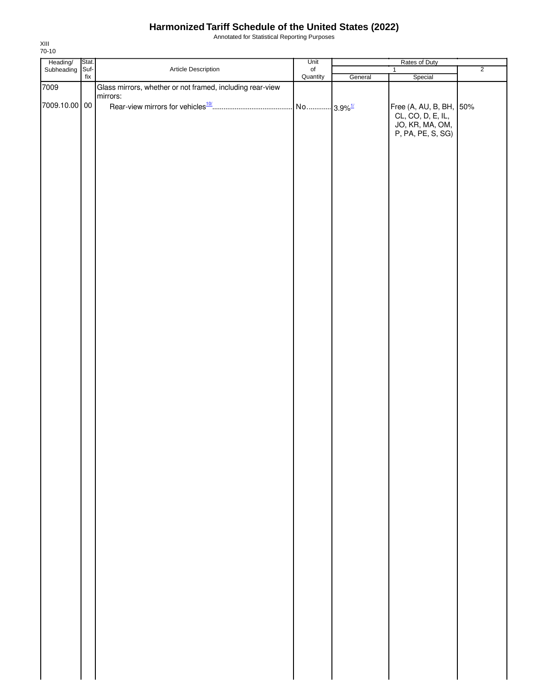Annotated for Statistical Reporting Purposes

| Heading/ Stat.<br>Subheading Suf- |                          |                                                           | Unit                  |         | Rates of Duty                                                                        |                |
|-----------------------------------|--------------------------|-----------------------------------------------------------|-----------------------|---------|--------------------------------------------------------------------------------------|----------------|
|                                   |                          | Article Description                                       | of<br>Quantity        |         | $\mathbf{1}$                                                                         | $\overline{2}$ |
| 7009                              | $\operatorname{\sf fix}$ | Glass mirrors, whether or not framed, including rear-view |                       | General | Special                                                                              |                |
| 7009.10.00 00                     |                          | mirrors:                                                  | No 3.9% <sup>1/</sup> |         | Free (A, AU, B, BH, 50%<br>CL, CO, D, E, IL,<br>JO, KR, MA, OM,<br>P, PA, PE, S, SG) |                |
|                                   |                          |                                                           |                       |         |                                                                                      |                |
|                                   |                          |                                                           |                       |         |                                                                                      |                |
|                                   |                          |                                                           |                       |         |                                                                                      |                |
|                                   |                          |                                                           |                       |         |                                                                                      |                |
|                                   |                          |                                                           |                       |         |                                                                                      |                |
|                                   |                          |                                                           |                       |         |                                                                                      |                |
|                                   |                          |                                                           |                       |         |                                                                                      |                |
|                                   |                          |                                                           |                       |         |                                                                                      |                |
|                                   |                          |                                                           |                       |         |                                                                                      |                |
|                                   |                          |                                                           |                       |         |                                                                                      |                |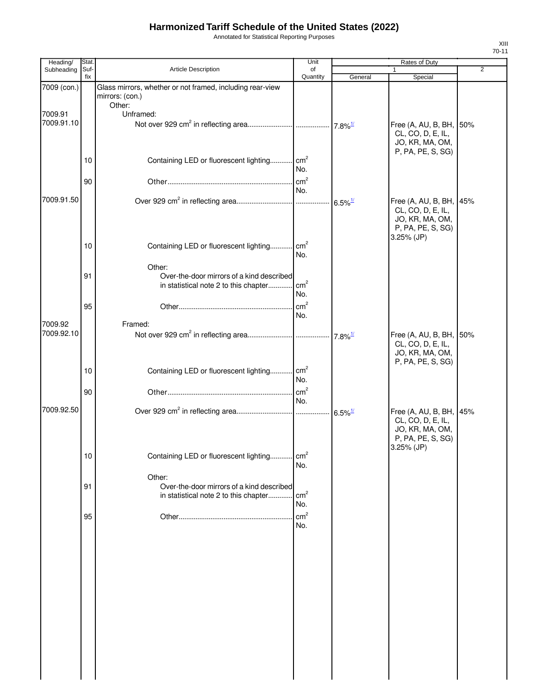Annotated for Statistical Reporting Purposes

| Heading/              | Stat.       |                                                                                                              | Unit                   |                       | Rates of Duty                                                                                      |                |
|-----------------------|-------------|--------------------------------------------------------------------------------------------------------------|------------------------|-----------------------|----------------------------------------------------------------------------------------------------|----------------|
| Subheading            | Suf-<br>fix | Article Description                                                                                          | of<br>Quantity         | General               | 1<br>Special                                                                                       | $\overline{2}$ |
| 7009 (con.)           |             | Glass mirrors, whether or not framed, including rear-view<br>mirrors: (con.)                                 |                        |                       |                                                                                                    |                |
|                       |             | Other:                                                                                                       |                        |                       |                                                                                                    |                |
| 7009.91<br>7009.91.10 |             | Unframed:                                                                                                    |                        |                       | Free (A, AU, B, BH,<br>CL, CO, D, E, IL,<br>JO, KR, MA, OM,                                        | 50%            |
|                       | 10          | Containing LED or fluorescent lighting cm <sup>2</sup>                                                       | No.                    |                       | P, PA, PE, S, SG)                                                                                  |                |
|                       | 90          |                                                                                                              | cm <sup>2</sup><br>No. |                       |                                                                                                    |                |
| 7009.91.50            |             |                                                                                                              |                        | $6.5\%$ <sup>1/</sup> | Free (A, AU, B, BH, 45%<br>CL, CO, D, E, IL,<br>JO, KR, MA, OM,<br>P, PA, PE, S, SG)<br>3.25% (JP) |                |
|                       | 10          | Containing LED or fluorescent lighting                                                                       | cm <sup>2</sup><br>No. |                       |                                                                                                    |                |
|                       | 91          | Other:<br>Over-the-door mirrors of a kind described<br>in statistical note 2 to this chapter cm <sup>2</sup> | No.                    |                       |                                                                                                    |                |
|                       | 95          |                                                                                                              | cm <sup>2</sup><br>No. |                       |                                                                                                    |                |
| 7009.92               |             | Framed:                                                                                                      |                        |                       |                                                                                                    |                |
| 7009.92.10            |             |                                                                                                              |                        | $7.8\%$ <sup>1/</sup> | Free (A, AU, B, BH, 50%<br>CL, CO, D, E, IL,<br>JO, KR, MA, OM,<br>P, PA, PE, S, SG)               |                |
|                       | 10          | Containing LED or fluorescent lighting cm <sup>2</sup>                                                       | No.                    |                       |                                                                                                    |                |
|                       | 90          |                                                                                                              | $\text{cm}^2$<br>No.   |                       |                                                                                                    |                |
| 7009.92.50            |             |                                                                                                              |                        |                       | Free (A, AU, B, BH, 45%<br>CL, CO, D, E, IL,<br>JO, KR, MA, OM,<br>P, PA, PE, S, SG)<br>3.25% (JP) |                |
|                       | 10          | Containing LED or fluorescent lighting                                                                       | cm <sup>2</sup><br>No. |                       |                                                                                                    |                |
|                       | 91          | Other:<br>Over-the-door mirrors of a kind described<br>in statistical note 2 to this chapter                 | cm <sup>2</sup><br>No. |                       |                                                                                                    |                |
|                       | 95          |                                                                                                              | cm <sup>2</sup><br>No. |                       |                                                                                                    |                |
|                       |             |                                                                                                              |                        |                       |                                                                                                    |                |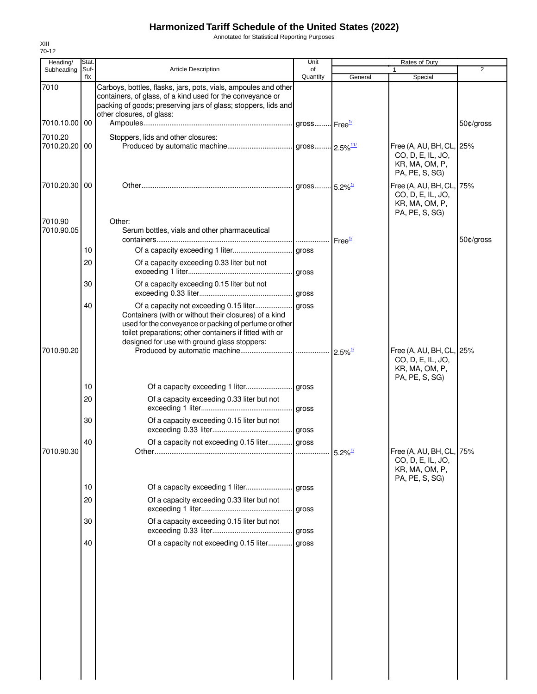Annotated for Statistical Reporting Purposes

| fix<br>Special<br>Quantity<br>General<br>7010<br>Carboys, bottles, flasks, jars, pots, vials, ampoules and other<br>containers, of glass, of a kind used for the conveyance or<br>packing of goods; preserving jars of glass; stoppers, lids and<br>other closures, of glass:<br>7010.10.00<br>50¢/gross<br>00<br>Stoppers, lids and other closures:<br>Free (A, AU, BH, CL, 25%<br>00<br>CO, D, E, IL, JO,<br>KR, MA, OM, P,<br>PA, PE, S, SG)<br>Free (A, AU, BH, CL, 75%<br>CO, D, E, IL, JO,<br>KR, MA, OM, P,<br>PA, PE, S, SG)<br>Other:<br>Serum bottles, vials and other pharmaceutical<br>50¢/gross<br>Free <sup>1/2</sup><br>10<br>20<br>Of a capacity exceeding 0.33 liter but not<br>30<br>Of a capacity exceeding 0.15 liter but not<br>40<br>Of a capacity not exceeding 0.15 liter<br>gross<br>Containers (with or without their closures) of a kind<br>used for the conveyance or packing of perfume or other<br>toilet preparations; other containers if fitted with or<br>designed for use with ground glass stoppers:<br>Free (A, AU, BH, CL, 25%<br>CO, D, E, IL, JO,<br>KR, MA, OM, P,<br>PA, PE, S, SG)<br>10<br>Of a capacity exceeding 0.33 liter but not<br>20<br>gross<br>30<br>Of a capacity exceeding 0.15 liter but not<br>Of a capacity not exceeding 0.15 liter gross<br>40<br>Free (A, AU, BH, CL, 75%<br>CO, D, E, IL, JO,<br>KR, MA, OM, P,<br>PA, PE, S, SG)<br>10<br>20<br>Of a capacity exceeding 0.33 liter but not<br>gross<br>30<br>Of a capacity exceeding 0.15 liter but not<br>gross<br>40<br>Of a capacity not exceeding 0.15 liter<br>gross | Heading/   | Stat. |                            | Unit | <b>Rates of Duty</b> |                |
|------------------------------------------------------------------------------------------------------------------------------------------------------------------------------------------------------------------------------------------------------------------------------------------------------------------------------------------------------------------------------------------------------------------------------------------------------------------------------------------------------------------------------------------------------------------------------------------------------------------------------------------------------------------------------------------------------------------------------------------------------------------------------------------------------------------------------------------------------------------------------------------------------------------------------------------------------------------------------------------------------------------------------------------------------------------------------------------------------------------------------------------------------------------------------------------------------------------------------------------------------------------------------------------------------------------------------------------------------------------------------------------------------------------------------------------------------------------------------------------------------------------------------------------------------------------------------------------|------------|-------|----------------------------|------|----------------------|----------------|
|                                                                                                                                                                                                                                                                                                                                                                                                                                                                                                                                                                                                                                                                                                                                                                                                                                                                                                                                                                                                                                                                                                                                                                                                                                                                                                                                                                                                                                                                                                                                                                                          | Subheading | Suf-  | <b>Article Description</b> | of   | $\mathbf{1}$         | $\overline{2}$ |
|                                                                                                                                                                                                                                                                                                                                                                                                                                                                                                                                                                                                                                                                                                                                                                                                                                                                                                                                                                                                                                                                                                                                                                                                                                                                                                                                                                                                                                                                                                                                                                                          |            |       |                            |      |                      |                |
| 7010.20<br>7010.20.20<br>7010.90.20                                                                                                                                                                                                                                                                                                                                                                                                                                                                                                                                                                                                                                                                                                                                                                                                                                                                                                                                                                                                                                                                                                                                                                                                                                                                                                                                                                                                                                                                                                                                                      |            |       |                            |      |                      |                |
| 7010.20.30 00<br>7010.90<br>7010.90.05                                                                                                                                                                                                                                                                                                                                                                                                                                                                                                                                                                                                                                                                                                                                                                                                                                                                                                                                                                                                                                                                                                                                                                                                                                                                                                                                                                                                                                                                                                                                                   |            |       |                            |      |                      |                |
|                                                                                                                                                                                                                                                                                                                                                                                                                                                                                                                                                                                                                                                                                                                                                                                                                                                                                                                                                                                                                                                                                                                                                                                                                                                                                                                                                                                                                                                                                                                                                                                          |            |       |                            |      |                      |                |
|                                                                                                                                                                                                                                                                                                                                                                                                                                                                                                                                                                                                                                                                                                                                                                                                                                                                                                                                                                                                                                                                                                                                                                                                                                                                                                                                                                                                                                                                                                                                                                                          |            |       |                            |      |                      |                |
|                                                                                                                                                                                                                                                                                                                                                                                                                                                                                                                                                                                                                                                                                                                                                                                                                                                                                                                                                                                                                                                                                                                                                                                                                                                                                                                                                                                                                                                                                                                                                                                          |            |       |                            |      |                      |                |
|                                                                                                                                                                                                                                                                                                                                                                                                                                                                                                                                                                                                                                                                                                                                                                                                                                                                                                                                                                                                                                                                                                                                                                                                                                                                                                                                                                                                                                                                                                                                                                                          |            |       |                            |      |                      |                |
|                                                                                                                                                                                                                                                                                                                                                                                                                                                                                                                                                                                                                                                                                                                                                                                                                                                                                                                                                                                                                                                                                                                                                                                                                                                                                                                                                                                                                                                                                                                                                                                          |            |       |                            |      |                      |                |
|                                                                                                                                                                                                                                                                                                                                                                                                                                                                                                                                                                                                                                                                                                                                                                                                                                                                                                                                                                                                                                                                                                                                                                                                                                                                                                                                                                                                                                                                                                                                                                                          |            |       |                            |      |                      |                |
| 7010.90.30                                                                                                                                                                                                                                                                                                                                                                                                                                                                                                                                                                                                                                                                                                                                                                                                                                                                                                                                                                                                                                                                                                                                                                                                                                                                                                                                                                                                                                                                                                                                                                               |            |       |                            |      |                      |                |
|                                                                                                                                                                                                                                                                                                                                                                                                                                                                                                                                                                                                                                                                                                                                                                                                                                                                                                                                                                                                                                                                                                                                                                                                                                                                                                                                                                                                                                                                                                                                                                                          |            |       |                            |      |                      |                |
|                                                                                                                                                                                                                                                                                                                                                                                                                                                                                                                                                                                                                                                                                                                                                                                                                                                                                                                                                                                                                                                                                                                                                                                                                                                                                                                                                                                                                                                                                                                                                                                          |            |       |                            |      |                      |                |
|                                                                                                                                                                                                                                                                                                                                                                                                                                                                                                                                                                                                                                                                                                                                                                                                                                                                                                                                                                                                                                                                                                                                                                                                                                                                                                                                                                                                                                                                                                                                                                                          |            |       |                            |      |                      |                |
|                                                                                                                                                                                                                                                                                                                                                                                                                                                                                                                                                                                                                                                                                                                                                                                                                                                                                                                                                                                                                                                                                                                                                                                                                                                                                                                                                                                                                                                                                                                                                                                          |            |       |                            |      |                      |                |
|                                                                                                                                                                                                                                                                                                                                                                                                                                                                                                                                                                                                                                                                                                                                                                                                                                                                                                                                                                                                                                                                                                                                                                                                                                                                                                                                                                                                                                                                                                                                                                                          |            |       |                            |      |                      |                |
|                                                                                                                                                                                                                                                                                                                                                                                                                                                                                                                                                                                                                                                                                                                                                                                                                                                                                                                                                                                                                                                                                                                                                                                                                                                                                                                                                                                                                                                                                                                                                                                          |            |       |                            |      |                      |                |
|                                                                                                                                                                                                                                                                                                                                                                                                                                                                                                                                                                                                                                                                                                                                                                                                                                                                                                                                                                                                                                                                                                                                                                                                                                                                                                                                                                                                                                                                                                                                                                                          |            |       |                            |      |                      |                |
|                                                                                                                                                                                                                                                                                                                                                                                                                                                                                                                                                                                                                                                                                                                                                                                                                                                                                                                                                                                                                                                                                                                                                                                                                                                                                                                                                                                                                                                                                                                                                                                          |            |       |                            |      |                      |                |
|                                                                                                                                                                                                                                                                                                                                                                                                                                                                                                                                                                                                                                                                                                                                                                                                                                                                                                                                                                                                                                                                                                                                                                                                                                                                                                                                                                                                                                                                                                                                                                                          |            |       |                            |      |                      |                |
|                                                                                                                                                                                                                                                                                                                                                                                                                                                                                                                                                                                                                                                                                                                                                                                                                                                                                                                                                                                                                                                                                                                                                                                                                                                                                                                                                                                                                                                                                                                                                                                          |            |       |                            |      |                      |                |
|                                                                                                                                                                                                                                                                                                                                                                                                                                                                                                                                                                                                                                                                                                                                                                                                                                                                                                                                                                                                                                                                                                                                                                                                                                                                                                                                                                                                                                                                                                                                                                                          |            |       |                            |      |                      |                |
|                                                                                                                                                                                                                                                                                                                                                                                                                                                                                                                                                                                                                                                                                                                                                                                                                                                                                                                                                                                                                                                                                                                                                                                                                                                                                                                                                                                                                                                                                                                                                                                          |            |       |                            |      |                      |                |
|                                                                                                                                                                                                                                                                                                                                                                                                                                                                                                                                                                                                                                                                                                                                                                                                                                                                                                                                                                                                                                                                                                                                                                                                                                                                                                                                                                                                                                                                                                                                                                                          |            |       |                            |      |                      |                |
|                                                                                                                                                                                                                                                                                                                                                                                                                                                                                                                                                                                                                                                                                                                                                                                                                                                                                                                                                                                                                                                                                                                                                                                                                                                                                                                                                                                                                                                                                                                                                                                          |            |       |                            |      |                      |                |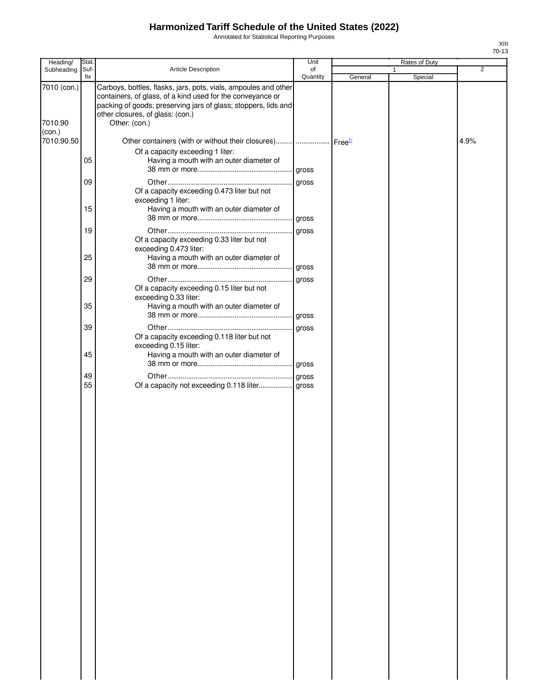Annotated for Statistical Reporting Purposes

| Heading/               | <b>Stat</b> |                                                                                                                                                                                                                                                      | Unit           |         | Rates of Duty |      |
|------------------------|-------------|------------------------------------------------------------------------------------------------------------------------------------------------------------------------------------------------------------------------------------------------------|----------------|---------|---------------|------|
| Subheading             | Suf-<br>fix | <b>Article Description</b>                                                                                                                                                                                                                           | of<br>Quantity | General | 1<br>Special  | 2    |
| 7010 (con.)<br>7010.90 |             | Carboys, bottles, flasks, jars, pots, vials, ampoules and other<br>containers, of glass, of a kind used for the conveyance or<br>packing of goods; preserving jars of glass; stoppers, lids and<br>other closures, of glass: (con.)<br>Other: (con.) |                |         |               |      |
| (con.)                 |             |                                                                                                                                                                                                                                                      |                |         |               |      |
| 7010.90.50             | 05          | Other containers (with or without their closures)      Free <sup>1/</sup><br>Of a capacity exceeding 1 liter:<br>Having a mouth with an outer diameter of                                                                                            |                |         |               | 4.9% |
|                        | 09          | Of a capacity exceeding 0.473 liter but not                                                                                                                                                                                                          |                |         |               |      |
|                        | 15          | exceeding 1 liter:<br>Having a mouth with an outer diameter of                                                                                                                                                                                       |                |         |               |      |
|                        | 19          |                                                                                                                                                                                                                                                      |                |         |               |      |
|                        | 25          | Of a capacity exceeding 0.33 liter but not<br>exceeding 0.473 liter:<br>Having a mouth with an outer diameter of                                                                                                                                     |                |         |               |      |
|                        |             |                                                                                                                                                                                                                                                      |                |         |               |      |
|                        | 29          |                                                                                                                                                                                                                                                      | gross          |         |               |      |
|                        | 35          | Of a capacity exceeding 0.15 liter but not<br>exceeding 0.33 liter:<br>Having a mouth with an outer diameter of                                                                                                                                      |                |         |               |      |
|                        |             |                                                                                                                                                                                                                                                      |                |         |               |      |
|                        | 39          |                                                                                                                                                                                                                                                      |                |         |               |      |
|                        | 45          | Of a capacity exceeding 0.118 liter but not<br>exceeding 0.15 liter:<br>Having a mouth with an outer diameter of                                                                                                                                     |                |         |               |      |
|                        |             |                                                                                                                                                                                                                                                      |                |         |               |      |
|                        | 49<br>55    | Of a capacity not exceeding 0.118 liter gross                                                                                                                                                                                                        |                |         |               |      |
|                        |             |                                                                                                                                                                                                                                                      |                |         |               |      |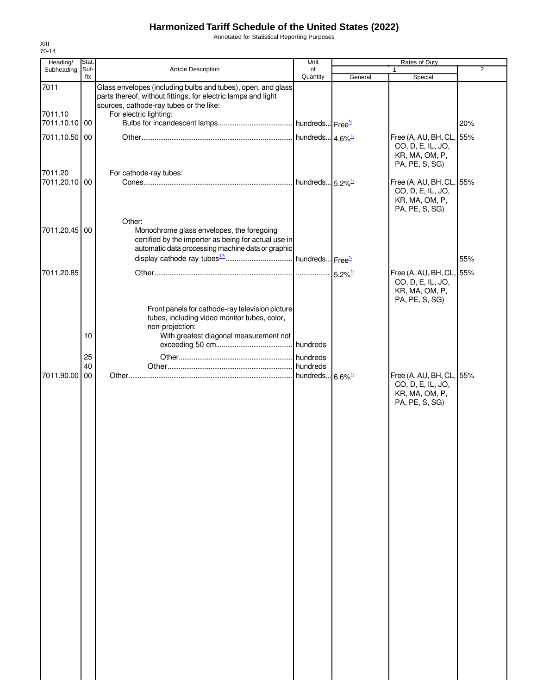Annotated for Statistical Reporting Purposes

| Heading/                 | Stat.          |                                                                                                                                                                          | Unit                        |                       | Rates of Duty                                                                     |                |
|--------------------------|----------------|--------------------------------------------------------------------------------------------------------------------------------------------------------------------------|-----------------------------|-----------------------|-----------------------------------------------------------------------------------|----------------|
| Subheading               | Suf-<br>fix    | <b>Article Description</b>                                                                                                                                               | of<br>Quantity              |                       | $\mathbf{1}$                                                                      | $\overline{2}$ |
| 7011                     |                | Glass envelopes (including bulbs and tubes), open, and glass<br>parts thereof, without fittings, for electric lamps and light<br>sources, cathode-ray tubes or the like: |                             | General               | Special                                                                           |                |
| 7011.10<br>7011.10.10 00 |                | For electric lighting:                                                                                                                                                   |                             |                       |                                                                                   | 20%            |
| 7011.10.50 00            |                |                                                                                                                                                                          |                             |                       | Free (A, AU, BH, CL, 55%<br>CO, D, E, IL, JO,<br>KR, MA, OM, P,<br>PA, PE, S, SG) |                |
| 7011.20<br>7011.20.10 00 |                | For cathode-ray tubes:                                                                                                                                                   |                             |                       | Free (A, AU, BH, CL, 55%<br>CO, D, E, IL, JO,<br>KR, MA, OM, P,<br>PA, PE, S, SG) |                |
| 7011.20.45 00            |                | Other:<br>Monochrome glass envelopes, the foregoing<br>certified by the importer as being for actual use in<br>automatic data processing machine data or graphic         |                             |                       |                                                                                   | 55%            |
| 7011.20.85               |                |                                                                                                                                                                          |                             | $5.2\%$ <sup>1/</sup> | Free (A, AU, BH, CL, 55%<br>CO, D, E, IL, JO,<br>KR, MA, OM, P,                   |                |
|                          | 10<br>25<br>40 | Front panels for cathode-ray television picture<br>tubes, including video monitor tubes, color,<br>non-projection:<br>With greatest diagonal measurement not             |                             |                       | PA, PE, S, SG)                                                                    |                |
| 7011.90.00               | 00             |                                                                                                                                                                          | hundreds 6.6% <sup>1/</sup> |                       | Free (A, AU, BH, CL, 55%<br>CO, D, E, IL, JO,<br>KR, MA, OM, P,<br>PA, PE, S, SG) |                |
|                          |                |                                                                                                                                                                          |                             |                       |                                                                                   |                |
|                          |                |                                                                                                                                                                          |                             |                       |                                                                                   |                |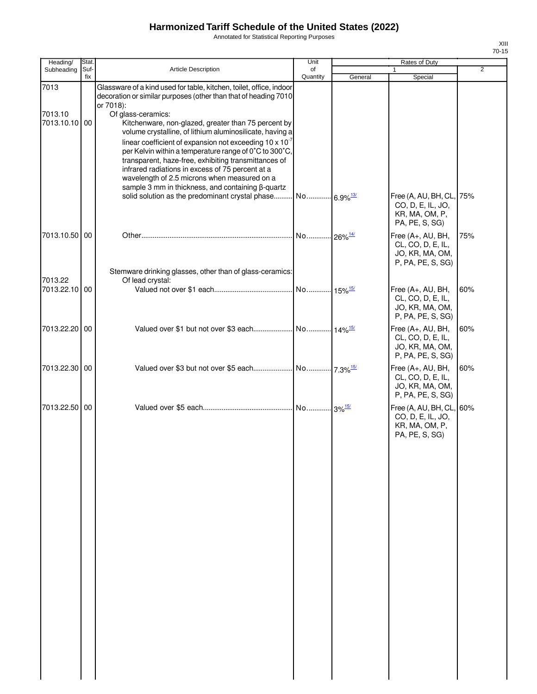Annotated for Statistical Reporting Purposes

| Heading/                 | <b>Stat</b> |                                                                                                                                                          | Unit           |                        | Rates of Duty                                                                  |                |
|--------------------------|-------------|----------------------------------------------------------------------------------------------------------------------------------------------------------|----------------|------------------------|--------------------------------------------------------------------------------|----------------|
| Subheading               | Suf-<br>fix | <b>Article Description</b>                                                                                                                               | of<br>Quantity | General                | Special                                                                        | $\overline{2}$ |
| 7013                     |             | Glassware of a kind used for table, kitchen, toilet, office, indoor<br>decoration or similar purposes (other than that of heading 7010                   |                |                        |                                                                                |                |
|                          |             | or 7018):                                                                                                                                                |                |                        |                                                                                |                |
| 7013.10<br>7013.10.10 00 |             | Of glass-ceramics:<br>Kitchenware, non-glazed, greater than 75 percent by<br>volume crystalline, of lithium aluminosilicate, having a                    |                |                        |                                                                                |                |
|                          |             | linear coefficient of expansion not exceeding $10 \times 10^{-7}$<br>per Kelvin within a temperature range of 0°C to 300°C,                              |                |                        |                                                                                |                |
|                          |             | transparent, haze-free, exhibiting transmittances of<br>infrared radiations in excess of 75 percent at a<br>wavelength of 2.5 microns when measured on a |                |                        |                                                                                |                |
|                          |             | sample 3 mm in thickness, and containing β-quartz                                                                                                        |                |                        |                                                                                |                |
|                          |             | solid solution as the predominant crystal phase No                                                                                                       |                | $6.9\%$ <sup>13/</sup> | Free (A, AU, BH, CL, 75%<br>CO, D, E, IL, JO,                                  |                |
|                          |             |                                                                                                                                                          |                |                        | KR, MA, OM, P,<br>PA, PE, S, SG)                                               |                |
| 7013.10.50 00            |             |                                                                                                                                                          | No             | $26\%$ <sup>14/</sup>  | Free (A+, AU, BH,<br>CL, CO, D, E, IL,                                         | 75%            |
|                          |             |                                                                                                                                                          |                |                        | JO, KR, MA, OM,<br>P, PA, PE, S, SG)                                           |                |
| 7013.22                  |             | Stemware drinking glasses, other than of glass-ceramics:<br>Of lead crystal:                                                                             |                |                        |                                                                                |                |
| 7013.22.10 00            |             |                                                                                                                                                          |                |                        | Free (A+, AU, BH,<br>CL, CO, D, E, IL,<br>JO, KR, MA, OM,<br>P, PA, PE, S, SG) | 60%            |
| 7013.22.20 00            |             |                                                                                                                                                          |                |                        | Free (A+, AU, BH,                                                              | 60%            |
|                          |             |                                                                                                                                                          |                |                        | CL, CO, D, E, IL,<br>JO, KR, MA, OM,<br>P, PA, PE, S, SG)                      |                |
| 7013.22.30 00            |             |                                                                                                                                                          |                |                        | Free (A+, AU, BH,<br>CL, CO, D, E, IL,<br>JO, KR, MA, OM,<br>P, PA, PE, S, SG) | 60%            |
| 7013.22.50 00            |             |                                                                                                                                                          |                |                        | Free (A, AU, BH, CL, 60%<br>CO, D, E, IL, JO,                                  |                |
|                          |             |                                                                                                                                                          |                |                        | KR, MA, OM, P,<br>PA, PE, S, SG)                                               |                |
|                          |             |                                                                                                                                                          |                |                        |                                                                                |                |
|                          |             |                                                                                                                                                          |                |                        |                                                                                |                |
|                          |             |                                                                                                                                                          |                |                        |                                                                                |                |
|                          |             |                                                                                                                                                          |                |                        |                                                                                |                |
|                          |             |                                                                                                                                                          |                |                        |                                                                                |                |
|                          |             |                                                                                                                                                          |                |                        |                                                                                |                |
|                          |             |                                                                                                                                                          |                |                        |                                                                                |                |
|                          |             |                                                                                                                                                          |                |                        |                                                                                |                |
|                          |             |                                                                                                                                                          |                |                        |                                                                                |                |
|                          |             |                                                                                                                                                          |                |                        |                                                                                |                |
|                          |             |                                                                                                                                                          |                |                        |                                                                                |                |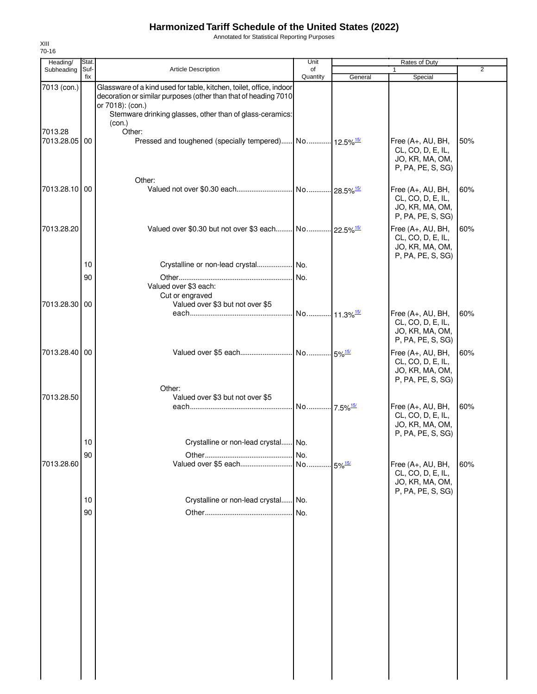Annotated for Statistical Reporting Purposes

| Heading/      | Stat.       |                                                                                                                                                                                                                        | Unit                    | Rates of Duty |                                                                                |                |  |
|---------------|-------------|------------------------------------------------------------------------------------------------------------------------------------------------------------------------------------------------------------------------|-------------------------|---------------|--------------------------------------------------------------------------------|----------------|--|
| Subheading    | Suf-<br>fix | <b>Article Description</b>                                                                                                                                                                                             | of<br>Quantity          | General       | Special                                                                        | $\overline{2}$ |  |
| 7013 (con.)   |             | Glassware of a kind used for table, kitchen, toilet, office, indoor<br>decoration or similar purposes (other than that of heading 7010<br>or 7018): (con.)<br>Stemware drinking glasses, other than of glass-ceramics: |                         |               |                                                                                |                |  |
| 7013.28       |             | (con.)<br>Other:                                                                                                                                                                                                       |                         |               |                                                                                |                |  |
| 7013.28.05 00 |             | Pressed and toughened (specially tempered) No 12.5% <sup>15/</sup>                                                                                                                                                     |                         |               | Free (A+, AU, BH,<br>CL, CO, D, E, IL,<br>JO, KR, MA, OM,<br>P, PA, PE, S, SG) | 50%            |  |
| 7013.28.10 00 |             | Other:                                                                                                                                                                                                                 |                         |               | Free (A+, AU, BH,<br>CL, CO, D, E, IL,<br>JO, KR, MA, OM,<br>P, PA, PE, S, SG) | 60%            |  |
| 7013.28.20    |             | Valued over \$0.30 but not over \$3 each No 22.5% <sup>15/</sup>                                                                                                                                                       |                         |               | Free (A+, AU, BH,<br>CL, CO, D, E, IL,<br>JO, KR, MA, OM,<br>P, PA, PE, S, SG) | 60%            |  |
|               | 10          | Crystalline or non-lead crystal No.                                                                                                                                                                                    |                         |               |                                                                                |                |  |
|               | 90          | Valued over \$3 each:<br>Cut or engraved                                                                                                                                                                               | I No.                   |               |                                                                                |                |  |
| 7013.28.30 00 |             | Valued over \$3 but not over \$5                                                                                                                                                                                       | No 11.3% <sup>15/</sup> |               | Free (A+, AU, BH,<br>CL, CO, D, E, IL,<br>JO, KR, MA, OM,<br>P, PA, PE, S, SG) | 60%            |  |
| 7013.28.40 00 |             |                                                                                                                                                                                                                        |                         |               | Free (A+, AU, BH,<br>CL, CO, D, E, IL,<br>JO, KR, MA, OM,<br>P, PA, PE, S, SG) | 60%            |  |
| 7013.28.50    |             | Other:<br>Valued over \$3 but not over \$5                                                                                                                                                                             |                         |               | Free (A+, AU, BH,<br>CL, CO, D, E, IL,<br>JO, KR, MA, OM,                      | 60%            |  |
|               | 10          | Crystalline or non-lead crystal No.                                                                                                                                                                                    |                         |               | P, PA, PE, S, SG)                                                              |                |  |
|               | 90          |                                                                                                                                                                                                                        | I No.                   |               |                                                                                |                |  |
| 7013.28.60    |             |                                                                                                                                                                                                                        |                         |               | Free (A+, AU, BH,<br>CL, CO, D, E, IL,<br>JO, KR, MA, OM,<br>P, PA, PE, S, SG) | 60%            |  |
|               | 10          | Crystalline or non-lead crystal No.                                                                                                                                                                                    |                         |               |                                                                                |                |  |
|               | 90          |                                                                                                                                                                                                                        | INo.                    |               |                                                                                |                |  |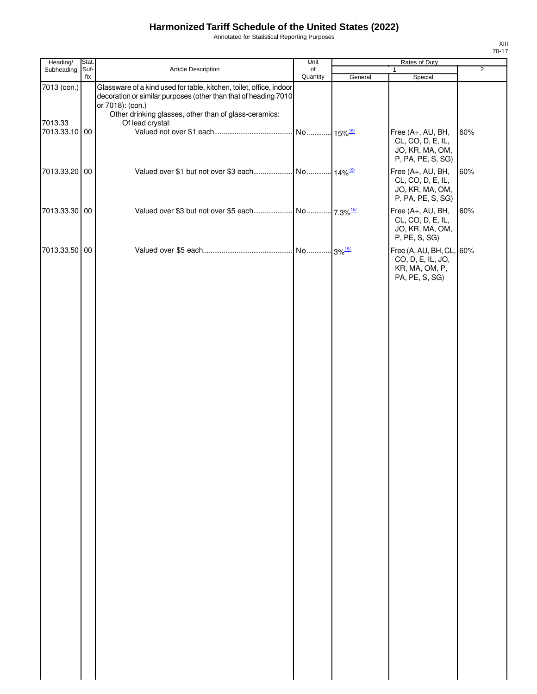Annotated for Statistical Reporting Purposes

| Heading/                 | Stat. |                                                                                                                                                                                                                     | Unit     |         | Rates of Duty                                                                     |                |
|--------------------------|-------|---------------------------------------------------------------------------------------------------------------------------------------------------------------------------------------------------------------------|----------|---------|-----------------------------------------------------------------------------------|----------------|
| Subheading               | Suf-  | Article Description                                                                                                                                                                                                 | of       |         | $\mathbf{1}$                                                                      | $\overline{2}$ |
| 7013 (con.)              | fix   | Glassware of a kind used for table, kitchen, toilet, office, indoor<br>decoration or similar purposes (other than that of heading 7010<br>or 7018): (con.)<br>Other drinking glasses, other than of glass-ceramics: | Quantity | General | Special                                                                           |                |
| 7013.33<br>7013.33.10 00 |       | Of lead crystal:                                                                                                                                                                                                    |          |         | Free (A+, AU, BH,<br>CL, CO, D, E, IL,<br>JO, KR, MA, OM,<br>P, PA, PE, S, SG)    | 60%            |
| 7013.33.20 00            |       |                                                                                                                                                                                                                     |          |         | Free (A+, AU, BH,<br>CL, CO, D, E, IL,<br>JO, KR, MA, OM,<br>P, PA, PE, S, SG)    | 60%            |
| 7013.33.30 00            |       |                                                                                                                                                                                                                     |          |         | Free (A+, AU, BH,<br>CL, CO, D, E, IL,<br>JO, KR, MA, OM,<br>P, PE, S, SG)        | 60%            |
| 7013.33.50 00            |       |                                                                                                                                                                                                                     |          |         | Free (A, AU, BH, CL, 60%<br>CO, D, E, IL, JO,<br>KR, MA, OM, P,<br>PA, PE, S, SG) |                |
|                          |       |                                                                                                                                                                                                                     |          |         |                                                                                   |                |
|                          |       |                                                                                                                                                                                                                     |          |         |                                                                                   |                |
|                          |       |                                                                                                                                                                                                                     |          |         |                                                                                   |                |
|                          |       |                                                                                                                                                                                                                     |          |         |                                                                                   |                |
|                          |       |                                                                                                                                                                                                                     |          |         |                                                                                   |                |
|                          |       |                                                                                                                                                                                                                     |          |         |                                                                                   |                |
|                          |       |                                                                                                                                                                                                                     |          |         |                                                                                   |                |
|                          |       |                                                                                                                                                                                                                     |          |         |                                                                                   |                |
|                          |       |                                                                                                                                                                                                                     |          |         |                                                                                   |                |
|                          |       |                                                                                                                                                                                                                     |          |         |                                                                                   |                |
|                          |       |                                                                                                                                                                                                                     |          |         |                                                                                   |                |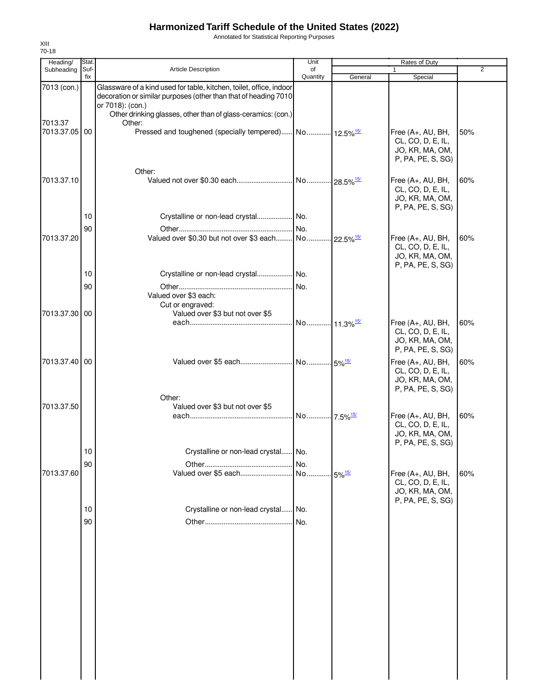Annotated for Statistical Reporting Purposes

| Heading/                 | Stat.       |                                                                                                                                                            | Unit           |                      | Rates of Duty                                                                  |                |
|--------------------------|-------------|------------------------------------------------------------------------------------------------------------------------------------------------------------|----------------|----------------------|--------------------------------------------------------------------------------|----------------|
| Subheading               | Suf-<br>fix | <b>Article Description</b>                                                                                                                                 | of<br>Quantity | General              | $\mathbf{1}$<br>Special                                                        | $\overline{2}$ |
| 7013 (con.)              |             | Glassware of a kind used for table, kitchen, toilet, office, indoor<br>decoration or similar purposes (other than that of heading 7010<br>or 7018): (con.) |                |                      |                                                                                |                |
|                          |             | Other drinking glasses, other than of glass-ceramics: (con.)                                                                                               |                |                      |                                                                                |                |
| 7013.37<br>7013.37.05 00 |             | Other:                                                                                                                                                     |                |                      | Free (A+, AU, BH,<br>CL, CO, D, E, IL,<br>JO, KR, MA, OM,<br>P, PA, PE, S, SG) | 50%            |
|                          |             | Other:                                                                                                                                                     |                |                      |                                                                                |                |
| 7013.37.10               |             |                                                                                                                                                            |                |                      | Free (A+, AU, BH,<br>CL, CO, D, E, IL,<br>JO, KR, MA, OM,<br>P, PA, PE, S, SG) | 60%            |
|                          | 10          | Crystalline or non-lead crystal No.                                                                                                                        |                |                      |                                                                                |                |
|                          | 90          |                                                                                                                                                            |                |                      |                                                                                |                |
| 7013.37.20               |             |                                                                                                                                                            |                |                      | Free (A+, AU, BH,<br>CL, CO, D, E, IL,<br>JO, KR, MA, OM,<br>P, PA, PE, S, SG) | 60%            |
|                          | 10          | Crystalline or non-lead crystal  No.                                                                                                                       |                |                      |                                                                                |                |
|                          | 90          | Valued over \$3 each:<br>Cut or engraved:                                                                                                                  |                |                      |                                                                                |                |
| 7013.37.30 00            |             | Valued over \$3 but not over \$5                                                                                                                           |                |                      | Free (A+, AU, BH,                                                              | 60%            |
|                          |             |                                                                                                                                                            |                |                      | CL, CO, D, E, IL,<br>JO, KR, MA, OM,<br>P, PA, PE, S, SG)                      |                |
| 7013.37.40 00            |             | Other:                                                                                                                                                     |                |                      | Free (A+, AU, BH,<br>CL, CO, D, E, IL,<br>JO, KR, MA, OM,<br>P, PA, PE, S, SG) | 60%            |
| 7013.37.50               |             | Valued over \$3 but not over \$5                                                                                                                           |                |                      |                                                                                |                |
|                          |             |                                                                                                                                                            |                |                      | Free (A+, AU, BH,<br>CL, CO, D, E, IL,<br>JO, KR, MA, OM,<br>P, PA, PE, S, SG) | 60%            |
|                          | 10          | Crystalline or non-lead crystal No.                                                                                                                        |                |                      |                                                                                |                |
|                          | 90          |                                                                                                                                                            |                |                      |                                                                                |                |
| 7013.37.60               |             |                                                                                                                                                            |                | $5\%$ <sup>15/</sup> | Free (A+, AU, BH,<br>CL, CO, D, E, IL,<br>JO, KR, MA, OM,<br>P, PA, PE, S, SG) | 60%            |
|                          | 10          | Crystalline or non-lead crystal No.                                                                                                                        |                |                      |                                                                                |                |
|                          | 90          |                                                                                                                                                            | No.            |                      |                                                                                |                |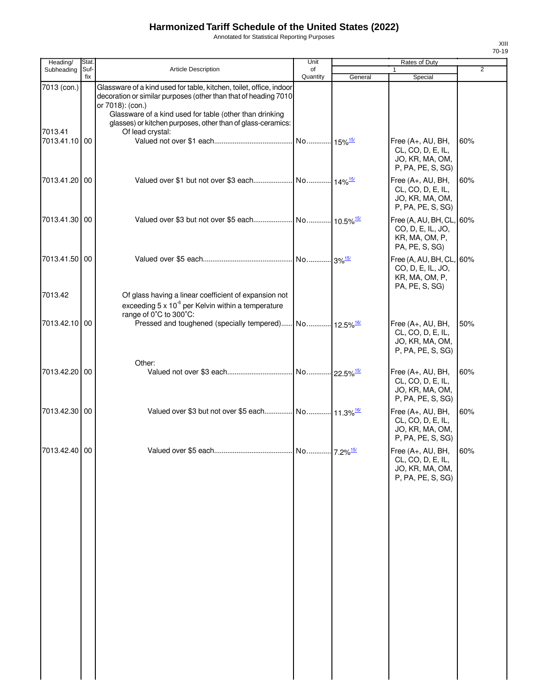Annotated for Statistical Reporting Purposes

| Heading/      | Stat.       |                                                                                                                                                                                                                       | Unit                  |         | Rates of Duty                                                                     |                |
|---------------|-------------|-----------------------------------------------------------------------------------------------------------------------------------------------------------------------------------------------------------------------|-----------------------|---------|-----------------------------------------------------------------------------------|----------------|
| Subheading    | Suf-<br>fix | <b>Article Description</b>                                                                                                                                                                                            | of<br>Quantity        | General | Special                                                                           | $\overline{2}$ |
| 7013 (con.)   |             | Glassware of a kind used for table, kitchen, toilet, office, indoor<br>decoration or similar purposes (other than that of heading 7010<br>or 7018): (con.)<br>Glassware of a kind used for table (other than drinking |                       |         |                                                                                   |                |
| 7013.41       |             | glasses) or kitchen purposes, other than of glass-ceramics:<br>Of lead crystal:                                                                                                                                       |                       |         |                                                                                   |                |
| 7013.41.10 00 |             |                                                                                                                                                                                                                       | No 15% <sup>15/</sup> |         | Free (A+, AU, BH,<br>CL, CO, D, E, IL,<br>JO, KR, MA, OM,<br>P, PA, PE, S, SG)    | 60%            |
| 7013.41.20 00 |             |                                                                                                                                                                                                                       |                       |         | Free (A+, AU, BH,<br>CL, CO, D, E, IL,<br>JO, KR, MA, OM,<br>P, PA, PE, S, SG)    | 60%            |
| 7013.41.30 00 |             |                                                                                                                                                                                                                       |                       |         | Free (A, AU, BH, CL, 60%<br>CO, D, E, IL, JO,<br>KR, MA, OM, P,<br>PA, PE, S, SG) |                |
| 7013.41.50 00 |             |                                                                                                                                                                                                                       |                       |         | Free (A, AU, BH, CL, 60%<br>CO, D, E, IL, JO,<br>KR, MA, OM, P,<br>PA, PE, S, SG) |                |
| 7013.42       |             | Of glass having a linear coefficient of expansion not<br>exceeding $5 \times 10^{-6}$ per Kelvin within a temperature<br>range of 0°C to 300°C:                                                                       |                       |         |                                                                                   |                |
| 7013.42.10 00 |             |                                                                                                                                                                                                                       |                       |         | Free (A+, AU, BH,<br>CL, CO, D, E, IL,<br>JO, KR, MA, OM,<br>P, PA, PE, S, SG)    | 50%            |
| 7013.42.20 00 |             | Other:                                                                                                                                                                                                                |                       |         | Free (A+, AU, BH,<br>CL, CO, D, E, IL,<br>JO, KR, MA, OM,<br>P, PA, PE, S, SG)    | 60%            |
| 7013.42.30 00 |             | Valued over \$3 but not over \$5 each No 11.3% <sup>16/</sup>                                                                                                                                                         |                       |         | Free (A+, AU, BH,<br>CL, CO, D, E, IL,<br>JO, KR, MA, OM,<br>P, PA, PE, S, SG)    | 60%            |
| 7013.42.40 00 |             |                                                                                                                                                                                                                       |                       |         | Free (A+, AU, BH,<br>CL, CO, D, E, IL,<br>JO, KR, MA, OM,<br>P, PA, PE, S, SG)    | 60%            |
|               |             |                                                                                                                                                                                                                       |                       |         |                                                                                   |                |
|               |             |                                                                                                                                                                                                                       |                       |         |                                                                                   |                |
|               |             |                                                                                                                                                                                                                       |                       |         |                                                                                   |                |
|               |             |                                                                                                                                                                                                                       |                       |         |                                                                                   |                |
|               |             |                                                                                                                                                                                                                       |                       |         |                                                                                   |                |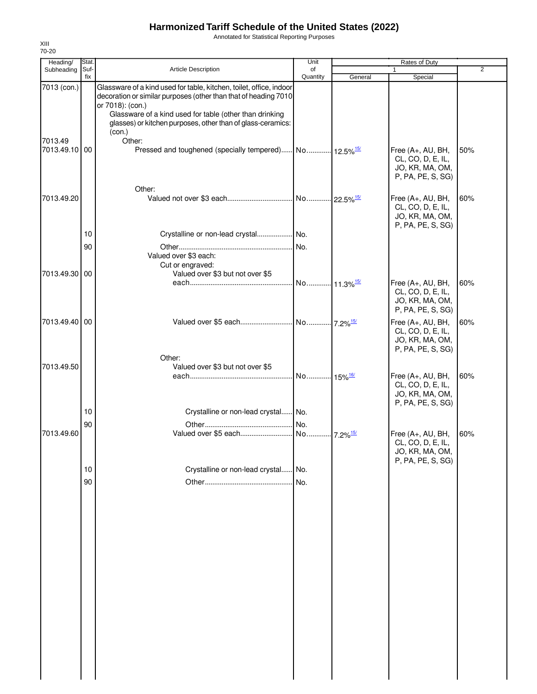Annotated for Statistical Reporting Purposes

| Heading/      | Stat.       |                                                                                                                                                            | Unit                    |                         | Rates of Duty                                                                  |                |
|---------------|-------------|------------------------------------------------------------------------------------------------------------------------------------------------------------|-------------------------|-------------------------|--------------------------------------------------------------------------------|----------------|
| Subheading    | Suf-<br>fix | <b>Article Description</b>                                                                                                                                 | of<br>Quantity          | General                 | 1<br>Special                                                                   | $\overline{2}$ |
| 7013 (con.)   |             | Glassware of a kind used for table, kitchen, toilet, office, indoor<br>decoration or similar purposes (other than that of heading 7010<br>or 7018): (con.) |                         |                         |                                                                                |                |
| 7013.49       |             | Glassware of a kind used for table (other than drinking<br>glasses) or kitchen purposes, other than of glass-ceramics:<br>(con.)<br>Other:                 |                         |                         |                                                                                |                |
| 7013.49.10 00 |             | Pressed and toughened (specially tempered) No.  12.5% <sup>15/</sup><br>Other:                                                                             |                         |                         | Free (A+, AU, BH,<br>CL, CO, D, E, IL,<br>JO, KR, MA, OM,<br>P, PA, PE, S, SG) | 50%            |
| 7013.49.20    |             |                                                                                                                                                            |                         |                         | Free (A+, AU, BH,<br>CL, CO, D, E, IL,<br>JO, KR, MA, OM,<br>P, PA, PE, S, SG) | 60%            |
|               | 10          | Crystalline or non-lead crystal No.                                                                                                                        |                         |                         |                                                                                |                |
| 7013.49.30 00 | 90          | Valued over \$3 each:<br>Cut or engraved:<br>Valued over \$3 but not over \$5                                                                              | No.                     |                         |                                                                                |                |
|               |             |                                                                                                                                                            | No 11.3% <sup>15/</sup> |                         | Free (A+, AU, BH,<br>CL, CO, D, E, IL,<br>JO, KR, MA, OM,<br>P, PA, PE, S, SG) | 60%            |
| 7013.49.40 00 |             |                                                                                                                                                            |                         |                         | Free (A+, AU, BH,<br>CL, CO, D, E, IL,<br>JO, KR, MA, OM,<br>P, PA, PE, S, SG) | 60%            |
| 7013.49.50    |             | Other:<br>Valued over \$3 but not over \$5                                                                                                                 |                         |                         |                                                                                |                |
|               |             |                                                                                                                                                            | No 15% <sup>16/</sup>   |                         | Free (A+, AU, BH,<br>CL, CO, D, E, IL,<br>JO, KR, MA, OM,<br>P, PA, PE, S, SG) | 60%            |
|               | 10          | Crystalline or non-lead crystal                                                                                                                            | No.                     |                         |                                                                                |                |
|               | 90          |                                                                                                                                                            | No.                     |                         |                                                                                |                |
| 7013.49.60    |             | Valued over \$5 each                                                                                                                                       | . No                    | $-7.2\%$ <sup>15/</sup> | Free (A+, AU, BH,<br>CL, CO, D, E, IL,<br>JO, KR, MA, OM,<br>P, PA, PE, S, SG) | 60%            |
|               | $10$        | Crystalline or non-lead crystal                                                                                                                            | No.                     |                         |                                                                                |                |
|               | 90          |                                                                                                                                                            | No.                     |                         |                                                                                |                |
|               |             |                                                                                                                                                            |                         |                         |                                                                                |                |
|               |             |                                                                                                                                                            |                         |                         |                                                                                |                |
|               |             |                                                                                                                                                            |                         |                         |                                                                                |                |
|               |             |                                                                                                                                                            |                         |                         |                                                                                |                |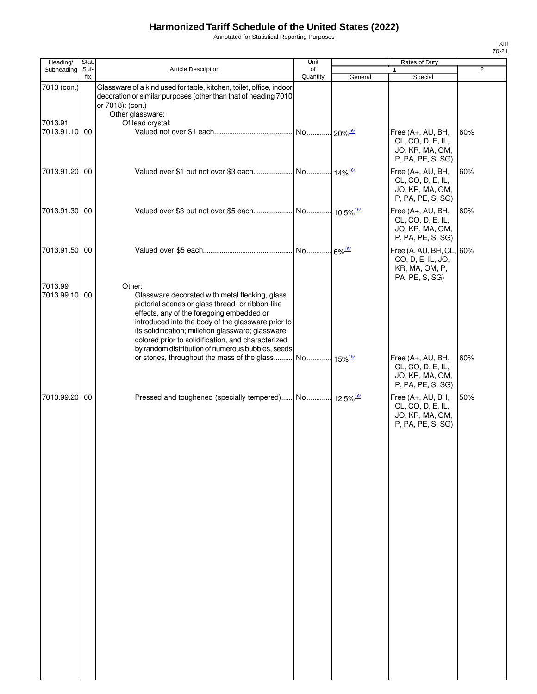Annotated for Statistical Reporting Purposes

| Heading/                 | Stat. |                                                                                                                                                                                                                                                                                                                                                                                   | Unit     |         | Rates of Duty                                                                  |                |
|--------------------------|-------|-----------------------------------------------------------------------------------------------------------------------------------------------------------------------------------------------------------------------------------------------------------------------------------------------------------------------------------------------------------------------------------|----------|---------|--------------------------------------------------------------------------------|----------------|
| Subheading               | Suf-  | <b>Article Description</b>                                                                                                                                                                                                                                                                                                                                                        | of       |         |                                                                                | $\overline{2}$ |
| 7013 (con.)              | fix   | Glassware of a kind used for table, kitchen, toilet, office, indoor                                                                                                                                                                                                                                                                                                               | Quantity | General | Special                                                                        |                |
|                          |       | decoration or similar purposes (other than that of heading 7010<br>or 7018): (con.)                                                                                                                                                                                                                                                                                               |          |         |                                                                                |                |
| 7013.91                  |       | Other glassware:<br>Of lead crystal:                                                                                                                                                                                                                                                                                                                                              |          |         |                                                                                |                |
| 7013.91.10 00            |       |                                                                                                                                                                                                                                                                                                                                                                                   |          |         | Free (A+, AU, BH,<br>CL, CO, D, E, IL,<br>JO, KR, MA, OM,<br>P, PA, PE, S, SG) | 60%            |
| 7013.91.20 00            |       |                                                                                                                                                                                                                                                                                                                                                                                   |          |         | Free (A+, AU, BH,<br>CL, CO, D, E, IL,<br>JO, KR, MA, OM,<br>P, PA, PE, S, SG) | 60%            |
| 7013.91.30 00            |       |                                                                                                                                                                                                                                                                                                                                                                                   |          |         | Free (A+, AU, BH,<br>CL, CO, D, E, IL,<br>JO, KR, MA, OM,<br>P, PA, PE, S, SG) | 60%            |
| 7013.91.50 00            |       |                                                                                                                                                                                                                                                                                                                                                                                   |          |         | Free (A, AU, BH, CL,<br>CO, D, E, IL, JO,<br>KR, MA, OM, P,<br>PA, PE, S, SG)  | 60%            |
| 7013.99<br>7013.99.10 00 |       | Other:<br>Glassware decorated with metal flecking, glass<br>pictorial scenes or glass thread- or ribbon-like<br>effects, any of the foregoing embedded or<br>introduced into the body of the glassware prior to<br>its solidification; millefiori glassware; glassware<br>colored prior to solidification, and characterized<br>by random distribution of numerous bubbles, seeds |          |         |                                                                                |                |
|                          |       | or stones, throughout the mass of the glass No 15% <sup>15/</sup>                                                                                                                                                                                                                                                                                                                 |          |         | Free (A+, AU, BH,<br>CL, CO, D, E, IL,<br>JO, KR, MA, OM,<br>P, PA, PE, S, SG) | 60%            |
| 7013.99.20 00            |       | Pressed and toughened (specially tempered) No 12.5% <sup>16/</sup>                                                                                                                                                                                                                                                                                                                |          |         | Free (A+, AU, BH,<br>CL, CO, D, E, IL,<br>JO, KR, MA, OM,<br>P, PA, PE, S, SG) | 50%            |
|                          |       |                                                                                                                                                                                                                                                                                                                                                                                   |          |         |                                                                                |                |
|                          |       |                                                                                                                                                                                                                                                                                                                                                                                   |          |         |                                                                                |                |
|                          |       |                                                                                                                                                                                                                                                                                                                                                                                   |          |         |                                                                                |                |
|                          |       |                                                                                                                                                                                                                                                                                                                                                                                   |          |         |                                                                                |                |
|                          |       |                                                                                                                                                                                                                                                                                                                                                                                   |          |         |                                                                                |                |
|                          |       |                                                                                                                                                                                                                                                                                                                                                                                   |          |         |                                                                                |                |
|                          |       |                                                                                                                                                                                                                                                                                                                                                                                   |          |         |                                                                                |                |
|                          |       |                                                                                                                                                                                                                                                                                                                                                                                   |          |         |                                                                                |                |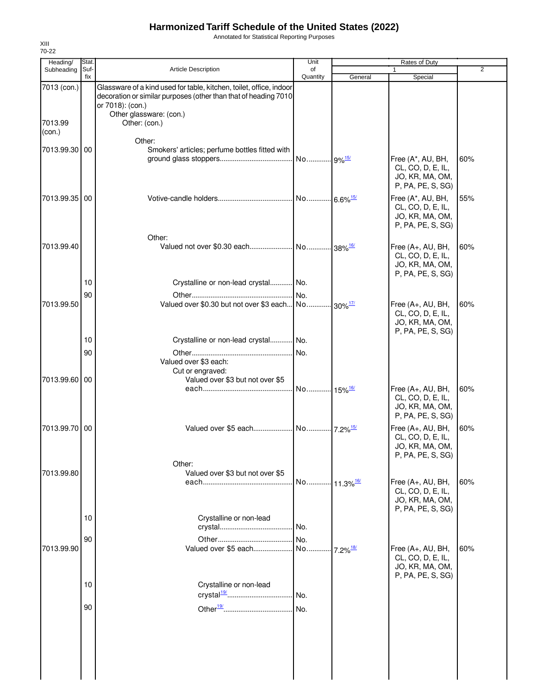Annotated for Statistical Reporting Purposes

| Heading/          | <b>Stat</b> |                                                                                                                                                            | Unit                    |                         | Rates of Duty                                                                  |                |
|-------------------|-------------|------------------------------------------------------------------------------------------------------------------------------------------------------------|-------------------------|-------------------------|--------------------------------------------------------------------------------|----------------|
| Subheading        | Suf-<br>fix | <b>Article Description</b>                                                                                                                                 | of<br>Quantity          |                         |                                                                                | $\overline{2}$ |
| 7013 (con.)       |             | Glassware of a kind used for table, kitchen, toilet, office, indoor<br>decoration or similar purposes (other than that of heading 7010<br>or 7018): (con.) |                         | General                 | Special                                                                        |                |
| 7013.99<br>(con.) |             | Other glassware: (con.)<br>Other: (con.)                                                                                                                   |                         |                         |                                                                                |                |
| 7013.99.30 00     |             | Other:<br>Smokers' articles; perfume bottles fitted with                                                                                                   |                         |                         | Free (A*, AU, BH,<br>CL, CO, D, E, IL,                                         | 60%            |
|                   |             |                                                                                                                                                            |                         |                         | JO, KR, MA, OM,<br>P, PA, PE, S, SG)                                           |                |
| 7013.99.35 00     |             |                                                                                                                                                            | No 6.6% <sup>15/</sup>  |                         | Free (A*, AU, BH,<br>CL, CO, D, E, IL,<br>JO, KR, MA, OM,<br>P, PA, PE, S, SG) | 55%            |
|                   |             | Other:                                                                                                                                                     |                         |                         |                                                                                |                |
| 7013.99.40        |             |                                                                                                                                                            |                         |                         | Free (A+, AU, BH,<br>CL, CO, D, E, IL,<br>JO, KR, MA, OM,<br>P, PA, PE, S, SG) | 60%            |
|                   | 10          | Crystalline or non-lead crystal No.                                                                                                                        |                         |                         |                                                                                |                |
|                   | 90          |                                                                                                                                                            | No.                     |                         |                                                                                |                |
| 7013.99.50        |             | Valued over \$0.30 but not over \$3 each No 30% <sup>17/</sup>                                                                                             |                         |                         | Free (A+, AU, BH,<br>CL, CO, D, E, IL,<br>JO, KR, MA, OM,<br>P, PA, PE, S, SG) | 60%            |
|                   | 10          | Crystalline or non-lead crystal No.                                                                                                                        |                         |                         |                                                                                |                |
|                   | 90          | Valued over \$3 each:<br>Cut or engraved:                                                                                                                  | No.                     |                         |                                                                                |                |
| 7013.99.60 00     |             | Valued over \$3 but not over \$5                                                                                                                           |                         |                         |                                                                                |                |
|                   |             |                                                                                                                                                            | No 15% <sup>16/</sup>   |                         | Free (A+, AU, BH,<br>CL, CO, D, E, IL,<br>JO, KR, MA, OM,<br>P, PA, PE, S, SG) | 60%            |
| 7013.99.70 00     |             |                                                                                                                                                            |                         |                         | Free (A+, AU, BH,<br>CL, CO, D, E, IL,<br>JO, KR, MA, OM,<br>P, PA, PE, S, SG) | 60%            |
| 7013.99.80        |             | Other:<br>Valued over \$3 but not over \$5                                                                                                                 |                         |                         |                                                                                | 60%            |
|                   |             |                                                                                                                                                            | No 11.3% <sup>16/</sup> |                         | Free (A+, AU, BH,<br>CL, CO, D, E, IL,<br>JO, KR, MA, OM,<br>P, PA, PE, S, SG) |                |
|                   | 10          | Crystalline or non-lead                                                                                                                                    | No.                     |                         |                                                                                |                |
|                   | 90          |                                                                                                                                                            | No.                     |                         |                                                                                |                |
| 7013.99.90        |             | Valued over \$5 each                                                                                                                                       | No                      | $-7.2\%$ <sup>18/</sup> | Free (A+, AU, BH,<br>CL, CO, D, E, IL,<br>JO, KR, MA, OM,<br>P, PA, PE, S, SG) | 60%            |
|                   | 10          | Crystalline or non-lead<br>crystal <sup>19/</sup>                                                                                                          | No.                     |                         |                                                                                |                |
|                   | 90          |                                                                                                                                                            | No.                     |                         |                                                                                |                |
|                   |             |                                                                                                                                                            |                         |                         |                                                                                |                |
|                   |             |                                                                                                                                                            |                         |                         |                                                                                |                |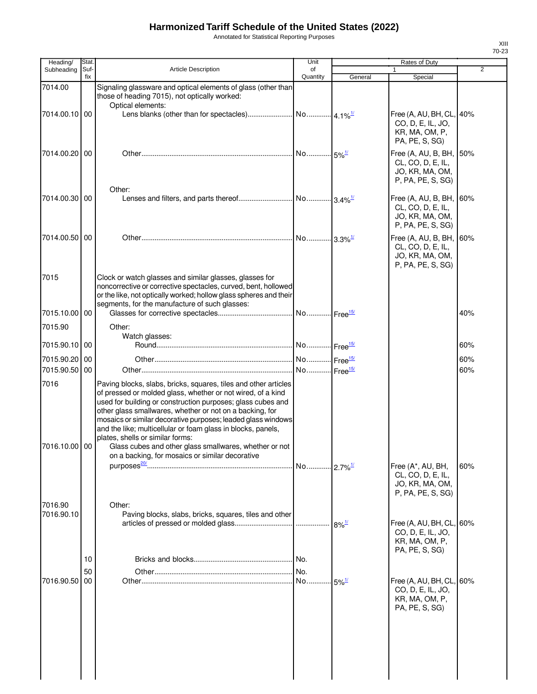Annotated for Statistical Reporting Purposes

| Heading/              | Stat.       |                                                                                                                                                                                                                                                                                                                                                                                                                                                                                                                                            | Unit           |                      | <b>Rates of Duty</b>                                                                 |                |
|-----------------------|-------------|--------------------------------------------------------------------------------------------------------------------------------------------------------------------------------------------------------------------------------------------------------------------------------------------------------------------------------------------------------------------------------------------------------------------------------------------------------------------------------------------------------------------------------------------|----------------|----------------------|--------------------------------------------------------------------------------------|----------------|
| Subheading            | Suf-<br>fix | <b>Article Description</b>                                                                                                                                                                                                                                                                                                                                                                                                                                                                                                                 | of<br>Quantity | General              | 1<br>Special                                                                         | $\overline{2}$ |
| 7014.00               |             | Signaling glassware and optical elements of glass (other than<br>those of heading 7015), not optically worked:<br>Optical elements:                                                                                                                                                                                                                                                                                                                                                                                                        |                |                      |                                                                                      |                |
| 7014.00.10 00         |             |                                                                                                                                                                                                                                                                                                                                                                                                                                                                                                                                            |                |                      | Free (A, AU, BH, CL, 40%<br>CO, D, E, IL, JO,<br>KR, MA, OM, P,<br>PA, PE, S, SG)    |                |
| 7014.00.20 00         |             |                                                                                                                                                                                                                                                                                                                                                                                                                                                                                                                                            |                |                      | Free (A, AU, B, BH, 50%<br>CL, CO, D, E, IL,<br>JO, KR, MA, OM,<br>P, PA, PE, S, SG) |                |
| 7014.00.30 00         |             | Other:                                                                                                                                                                                                                                                                                                                                                                                                                                                                                                                                     |                |                      | Free (A, AU, B, BH,<br>CL, CO, D, E, IL,<br>JO, KR, MA, OM,<br>P, PA, PE, S, SG)     | 60%            |
| 7014.00.50 00         |             |                                                                                                                                                                                                                                                                                                                                                                                                                                                                                                                                            |                |                      | Free (A, AU, B, BH,<br>CL, CO, D, E, IL,<br>JO, KR, MA, OM,<br>P, PA, PE, S, SG)     | 60%            |
| 7015                  |             | Clock or watch glasses and similar glasses, glasses for<br>noncorrective or corrective spectacles, curved, bent, hollowed<br>or the like, not optically worked; hollow glass spheres and their<br>segments, for the manufacture of such glasses:                                                                                                                                                                                                                                                                                           |                |                      |                                                                                      |                |
| 7015.10.00 00         |             |                                                                                                                                                                                                                                                                                                                                                                                                                                                                                                                                            |                |                      |                                                                                      | 40%            |
| 7015.90               |             | Other:                                                                                                                                                                                                                                                                                                                                                                                                                                                                                                                                     |                |                      |                                                                                      |                |
| 7015.90.10 00         |             | Watch glasses:                                                                                                                                                                                                                                                                                                                                                                                                                                                                                                                             |                |                      |                                                                                      | 60%            |
| 7015.90.20 00         |             |                                                                                                                                                                                                                                                                                                                                                                                                                                                                                                                                            |                |                      |                                                                                      | 60%            |
| 7015.90.50            | 00          |                                                                                                                                                                                                                                                                                                                                                                                                                                                                                                                                            |                |                      |                                                                                      | 60%            |
| 7016<br>7016.10.00 00 |             | Paving blocks, slabs, bricks, squares, tiles and other articles<br>of pressed or molded glass, whether or not wired, of a kind<br>used for building or construction purposes; glass cubes and<br>other glass smallwares, whether or not on a backing, for<br>mosaics or similar decorative purposes; leaded glass windows<br>and the like; multicellular or foam glass in blocks, panels,<br>plates, shells or similar forms:<br>Glass cubes and other glass smallwares, whether or not<br>on a backing, for mosaics or similar decorative |                |                      |                                                                                      |                |
|                       |             |                                                                                                                                                                                                                                                                                                                                                                                                                                                                                                                                            |                |                      | Free (A*, AU, BH,<br>CL, CO, D, E, IL,<br>JO, KR, MA, OM,<br>P, PA, PE, S, SG)       | 60%            |
| 7016.90<br>7016.90.10 |             | Other:<br>Paving blocks, slabs, bricks, squares, tiles and other                                                                                                                                                                                                                                                                                                                                                                                                                                                                           |                | $8\%$ <sup>1/</sup>  | Free (A, AU, BH, CL,<br>CO, D, E, IL, JO,<br>KR, MA, OM, P,<br>PA, PE, S, SG)        | 60%            |
|                       | 10          |                                                                                                                                                                                                                                                                                                                                                                                                                                                                                                                                            |                |                      |                                                                                      |                |
|                       | 50          |                                                                                                                                                                                                                                                                                                                                                                                                                                                                                                                                            |                |                      |                                                                                      |                |
| 7016.90.50            | 00          |                                                                                                                                                                                                                                                                                                                                                                                                                                                                                                                                            |                | $-5\%$ <sup>1/</sup> | Free (A, AU, BH, CL,<br>CO, D, E, IL, JO,<br>KR, MA, OM, P,<br>PA, PE, S, SG)        | 60%            |
|                       |             |                                                                                                                                                                                                                                                                                                                                                                                                                                                                                                                                            |                |                      |                                                                                      |                |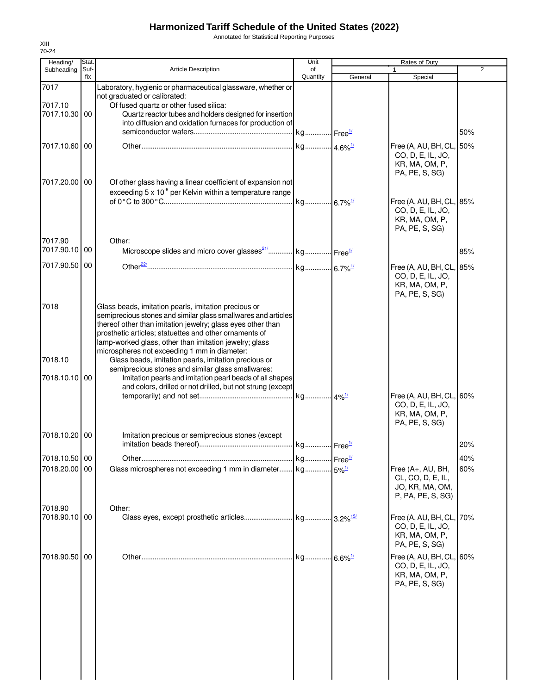Annotated for Statistical Reporting Purposes

| Heading/                         | Stat.       |                                                                                                                                                                                                                                                                                                                                                                                                                                                                                                                                                                                                 | Unit           |         | Rates of Duty                                                                                       |     |
|----------------------------------|-------------|-------------------------------------------------------------------------------------------------------------------------------------------------------------------------------------------------------------------------------------------------------------------------------------------------------------------------------------------------------------------------------------------------------------------------------------------------------------------------------------------------------------------------------------------------------------------------------------------------|----------------|---------|-----------------------------------------------------------------------------------------------------|-----|
| Subheading                       | Suf-<br>fix | <b>Article Description</b>                                                                                                                                                                                                                                                                                                                                                                                                                                                                                                                                                                      | of<br>Quantity | General | 1<br>Special                                                                                        | 2   |
| 7017                             |             | Laboratory, hygienic or pharmaceutical glassware, whether or<br>not graduated or calibrated:                                                                                                                                                                                                                                                                                                                                                                                                                                                                                                    |                |         |                                                                                                     |     |
| 7017.10<br>7017.10.30 00         |             | Of fused quartz or other fused silica:<br>Quartz reactor tubes and holders designed for insertion<br>into diffusion and oxidation furnaces for production of                                                                                                                                                                                                                                                                                                                                                                                                                                    |                |         |                                                                                                     | 50% |
| 7017.10.60 00                    |             |                                                                                                                                                                                                                                                                                                                                                                                                                                                                                                                                                                                                 |                |         | Free (A, AU, BH, CL,<br>CO, D, E, IL, JO,<br>KR, MA, OM, P,                                         | 50% |
| 7017.20.00 00                    |             | Of other glass having a linear coefficient of expansion not<br>exceeding $5 \times 10^{-6}$ per Kelvin within a temperature range                                                                                                                                                                                                                                                                                                                                                                                                                                                               |                |         | PA, PE, S, SG)<br>Free (A, AU, BH, CL, 85%<br>CO, D, E, IL, JO,<br>KR, MA, OM, P,<br>PA, PE, S, SG) |     |
| 7017.90<br>7017.90.10 00         |             | Other:<br>Microscope slides and micro cover glasses <sup>21</sup> / kg Free <sup>1/</sup>                                                                                                                                                                                                                                                                                                                                                                                                                                                                                                       |                |         |                                                                                                     | 85% |
| 7017.90.50 00                    |             |                                                                                                                                                                                                                                                                                                                                                                                                                                                                                                                                                                                                 |                |         | Free (A, AU, BH, CL,<br>CO, D, E, IL, JO,<br>KR, MA, OM, P,<br>PA, PE, S, SG)                       | 85% |
| 7018<br>7018.10<br>7018.10.10 00 |             | Glass beads, imitation pearls, imitation precious or<br>semiprecious stones and similar glass smallwares and articles<br>thereof other than imitation jewelry; glass eyes other than<br>prosthetic articles; statuettes and other ornaments of<br>lamp-worked glass, other than imitation jewelry; glass<br>microspheres not exceeding 1 mm in diameter:<br>Glass beads, imitation pearls, imitation precious or<br>semiprecious stones and similar glass smallwares:<br>Imitation pearls and imitation pearl beads of all shapes<br>and colors, drilled or not drilled, but not strung (except |                |         |                                                                                                     |     |
|                                  |             |                                                                                                                                                                                                                                                                                                                                                                                                                                                                                                                                                                                                 |                |         | Free (A, AU, BH, CL,<br>CO, D, E, IL, JO,<br>KR, MA, OM, P,<br>PA, PE, S, SG)                       | 60% |
| 7018.10.20 00                    |             | Imitation precious or semiprecious stones (except                                                                                                                                                                                                                                                                                                                                                                                                                                                                                                                                               |                |         |                                                                                                     | 20% |
| 7018.10.50 00                    |             |                                                                                                                                                                                                                                                                                                                                                                                                                                                                                                                                                                                                 |                |         |                                                                                                     | 40% |
| 7018.20.00 00                    |             |                                                                                                                                                                                                                                                                                                                                                                                                                                                                                                                                                                                                 |                |         | Free (A+, AU, BH,<br>CL, CO, D, E, IL,<br>JO, KR, MA, OM,<br>P, PA, PE, S, SG)                      | 60% |
| 7018.90<br>7018.90.10 00         |             | Other:                                                                                                                                                                                                                                                                                                                                                                                                                                                                                                                                                                                          |                |         | Free (A, AU, BH, CL, 70%<br>CO, D, E, IL, JO,<br>KR, MA, OM, P,<br>PA, PE, S, SG)                   |     |
| 7018.90.50 00                    |             |                                                                                                                                                                                                                                                                                                                                                                                                                                                                                                                                                                                                 |                |         | Free (A, AU, BH, CL,<br>CO, D, E, IL, JO,<br>KR, MA, OM, P,<br>PA, PE, S, SG)                       | 60% |
|                                  |             |                                                                                                                                                                                                                                                                                                                                                                                                                                                                                                                                                                                                 |                |         |                                                                                                     |     |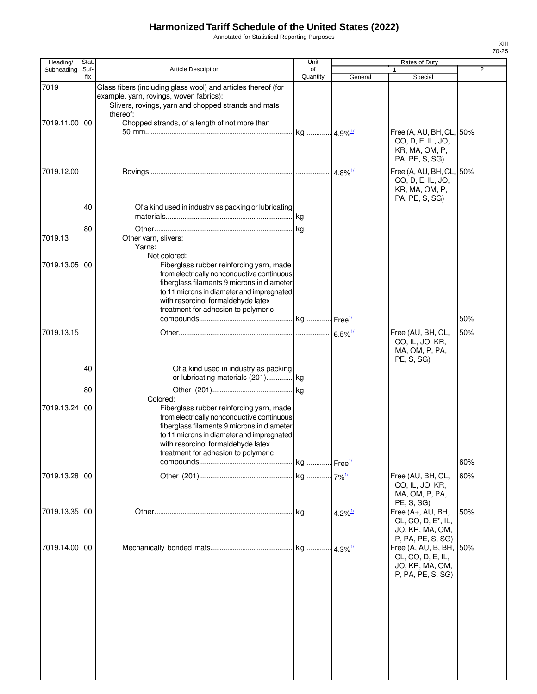Annotated for Statistical Reporting Purposes

| Heading/           | <b>Stat</b> |                                                                                                                                                                                                                                                                                | Unit                  |                          | Rates of Duty                                                                                             |                |
|--------------------|-------------|--------------------------------------------------------------------------------------------------------------------------------------------------------------------------------------------------------------------------------------------------------------------------------|-----------------------|--------------------------|-----------------------------------------------------------------------------------------------------------|----------------|
| Subheading         | Suf-<br>fix | <b>Article Description</b>                                                                                                                                                                                                                                                     | of<br>Quantity        | General                  | 1<br>Special                                                                                              | $\overline{2}$ |
| 7019<br>7019.11.00 | 00          | Glass fibers (including glass wool) and articles thereof (for<br>example, yarn, rovings, woven fabrics):<br>Slivers, rovings, yarn and chopped strands and mats<br>thereof:<br>Chopped strands, of a length of not more than                                                   |                       |                          | Free (A, AU, BH, CL, 50%<br>CO, D, E, IL, JO,<br>KR, MA, OM, P,<br>PA, PE, S, SG)                         |                |
| 7019.12.00         |             |                                                                                                                                                                                                                                                                                |                       | $.  4.8\%$ <sup>1/</sup> | Free (A, AU, BH, CL, 50%<br>CO, D, E, IL, JO,<br>KR, MA, OM, P,                                           |                |
|                    | 40          | Of a kind used in industry as packing or lubricating                                                                                                                                                                                                                           |                       |                          | PA, PE, S, SG)                                                                                            |                |
| 7019.13            | 80          | Other yarn, slivers:<br>Yarns:                                                                                                                                                                                                                                                 |                       |                          |                                                                                                           |                |
| 7019.13.05         | 00          | Not colored:<br>Fiberglass rubber reinforcing yarn, made<br>from electrically nonconductive continuous<br>fiberglass filaments 9 microns in diameter<br>to 11 microns in diameter and impregnated<br>with resorcinol formaldehyde latex<br>treatment for adhesion to polymeric |                       |                          |                                                                                                           | 50%            |
| 7019.13.15         |             |                                                                                                                                                                                                                                                                                |                       |                          | Free (AU, BH, CL,<br>CO, IL, JO, KR,<br>MA, OM, P, PA,<br>PE, S, SG)                                      | 50%            |
|                    | 40<br>80    | Of a kind used in industry as packing<br>or lubricating materials (201) kg                                                                                                                                                                                                     |                       |                          |                                                                                                           |                |
| 7019.13.24         | 00          | Colored:<br>Fiberglass rubber reinforcing yarn, made<br>from electrically nonconductive continuous<br>fiberglass filaments 9 microns in diameter<br>to 11 microns in diameter and impregnated<br>with resorcinol formaldehyde latex<br>treatment for adhesion to polymeric     |                       |                          |                                                                                                           |                |
|                    |             |                                                                                                                                                                                                                                                                                |                       |                          |                                                                                                           | 60%            |
| 7019.13.28 00      |             |                                                                                                                                                                                                                                                                                |                       |                          | Free (AU, BH, CL,<br>CO, IL, JO, KR,<br>MA, OM, P, PA,<br>PE, S, SG)                                      | 60%            |
| 7019.13.35 00      |             |                                                                                                                                                                                                                                                                                | kg 4.2% <sup>1/</sup> |                          | Free (A+, AU, BH,<br>CL, CO, D, E <sup>*</sup> , IL,<br>JO, KR, MA, OM,                                   | 50%            |
| 7019.14.00         | 00          |                                                                                                                                                                                                                                                                                |                       |                          | P, PA, PE, S, SG)<br>Free (A, AU, B, BH, 50%<br>CL, CO, D, E, IL,<br>JO, KR, MA, OM,<br>P, PA, PE, S, SG) |                |
|                    |             |                                                                                                                                                                                                                                                                                |                       |                          |                                                                                                           |                |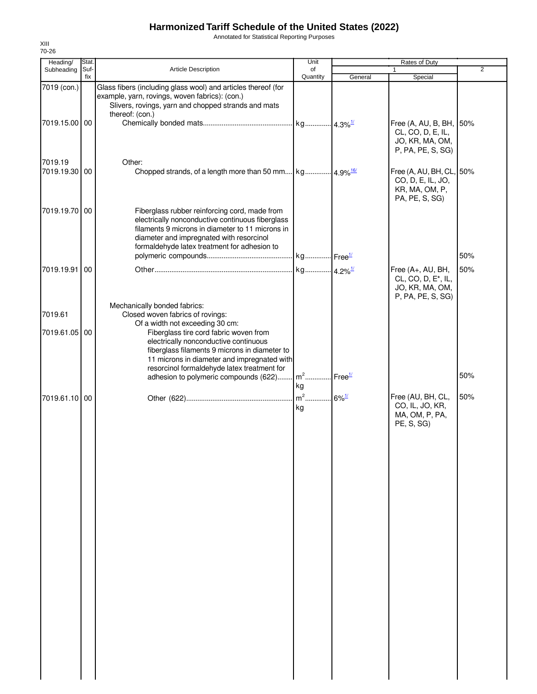Annotated for Statistical Reporting Purposes

| Heading/                 | Stat.       |                                                                                                                                                                                                                                                   | Unit           |                        | Rates of Duty                                                                                |                |
|--------------------------|-------------|---------------------------------------------------------------------------------------------------------------------------------------------------------------------------------------------------------------------------------------------------|----------------|------------------------|----------------------------------------------------------------------------------------------|----------------|
| Subheading               | Suf-<br>fix | <b>Article Description</b>                                                                                                                                                                                                                        | of<br>Quantity | General                | 1<br>Special                                                                                 | $\overline{2}$ |
| 7019 (con.)              |             | Glass fibers (including glass wool) and articles thereof (for<br>example, yarn, rovings, woven fabrics): (con.)<br>Slivers, rovings, yarn and chopped strands and mats<br>thereof: (con.)                                                         |                |                        |                                                                                              |                |
| 7019.15.00 00            |             |                                                                                                                                                                                                                                                   |                |                        | Free (A, AU, B, BH, 50%<br>CL, CO, D, E, IL,<br>JO, KR, MA, OM,<br>P, PA, PE, S, SG)         |                |
| 7019.19<br>7019.19.30 00 |             | Other:                                                                                                                                                                                                                                            |                |                        | Free (A, AU, BH, CL, 50%<br>CO, D, E, IL, JO,<br>KR, MA, OM, P,<br>PA, PE, S, SG)            |                |
| 7019.19.70 00            |             | Fiberglass rubber reinforcing cord, made from<br>electrically nonconductive continuous fiberglass<br>filaments 9 microns in diameter to 11 microns in<br>diameter and impregnated with resorcinol<br>formaldehyde latex treatment for adhesion to |                |                        |                                                                                              |                |
|                          |             |                                                                                                                                                                                                                                                   |                |                        |                                                                                              | 50%            |
| 7019.19.91               | 00          |                                                                                                                                                                                                                                                   |                |                        | Free (A+, AU, BH,<br>CL, CO, D, E <sup>*</sup> , IL,<br>JO, KR, MA, OM,<br>P, PA, PE, S, SG) | 50%            |
| 7019.61                  |             | Mechanically bonded fabrics:<br>Closed woven fabrics of rovings:<br>Of a width not exceeding 30 cm:                                                                                                                                               |                |                        |                                                                                              |                |
| 7019.61.05               | 00          | Fiberglass tire cord fabric woven from<br>electrically nonconductive continuous<br>fiberglass filaments 9 microns in diameter to<br>11 microns in diameter and impregnated with<br>resorcinol formaldehyde latex treatment for                    |                |                        |                                                                                              |                |
|                          |             | adhesion to polymeric compounds (622)                                                                                                                                                                                                             | $m2$<br>kg     | $I$ Free $\frac{1}{2}$ |                                                                                              | 50%            |
| 7019.61.10 00            |             |                                                                                                                                                                                                                                                   | $m^2$<br>kg    | $.6\%$ <sup>1/</sup>   | Free (AU, BH, CL,<br>CO, IL, JO, KR,<br>MA, OM, P, PA,<br>PE, S, SG)                         | 50%            |
|                          |             |                                                                                                                                                                                                                                                   |                |                        |                                                                                              |                |
|                          |             |                                                                                                                                                                                                                                                   |                |                        |                                                                                              |                |
|                          |             |                                                                                                                                                                                                                                                   |                |                        |                                                                                              |                |
|                          |             |                                                                                                                                                                                                                                                   |                |                        |                                                                                              |                |
|                          |             |                                                                                                                                                                                                                                                   |                |                        |                                                                                              |                |
|                          |             |                                                                                                                                                                                                                                                   |                |                        |                                                                                              |                |
|                          |             |                                                                                                                                                                                                                                                   |                |                        |                                                                                              |                |
|                          |             |                                                                                                                                                                                                                                                   |                |                        |                                                                                              |                |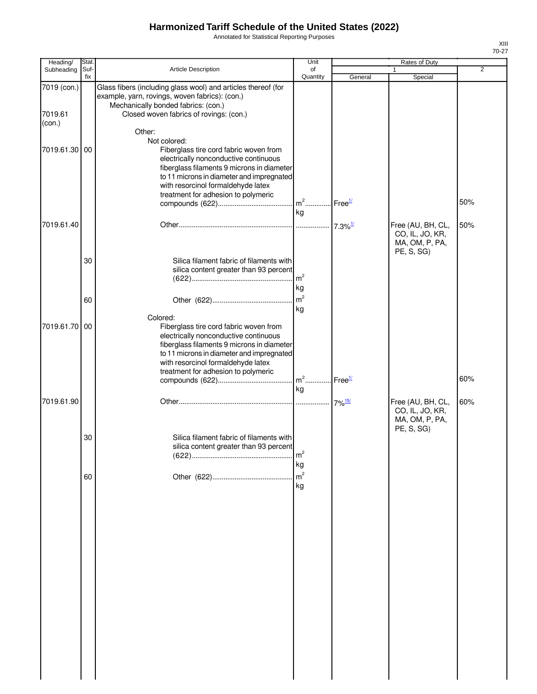Annotated for Statistical Reporting Purposes

| Heading/                         | Stat.       |                                                                                                                                                                                                                                                                         | Unit                           |                    | Rates of Duty                                                        |                |
|----------------------------------|-------------|-------------------------------------------------------------------------------------------------------------------------------------------------------------------------------------------------------------------------------------------------------------------------|--------------------------------|--------------------|----------------------------------------------------------------------|----------------|
| Subheading                       | Suf-<br>fix | Article Description                                                                                                                                                                                                                                                     | of<br>Quantity                 | General            | Special                                                              | $\overline{2}$ |
| 7019 (con.)<br>7019.61<br>(con.) |             | Glass fibers (including glass wool) and articles thereof (for<br>example, yarn, rovings, woven fabrics): (con.)<br>Mechanically bonded fabrics: (con.)<br>Closed woven fabrics of rovings: (con.)<br>Other:                                                             |                                |                    |                                                                      |                |
| 7019.61.30                       | 00          | Not colored:<br>Fiberglass tire cord fabric woven from<br>electrically nonconductive continuous<br>fiberglass filaments 9 microns in diameter<br>to 11 microns in diameter and impregnated<br>with resorcinol formaldehyde latex<br>treatment for adhesion to polymeric | $m^2$ Free <sup>1/</sup><br>kg |                    |                                                                      | 50%            |
| 7019.61.40                       |             |                                                                                                                                                                                                                                                                         |                                |                    | Free (AU, BH, CL,<br>CO, IL, JO, KR,<br>MA, OM, P, PA,<br>PE, S, SG) | 50%            |
|                                  | 30          | Silica filament fabric of filaments with<br>silica content greater than 93 percent                                                                                                                                                                                      | $\mathsf{Im}^2$<br>kg          |                    |                                                                      |                |
|                                  | 60          | Colored:                                                                                                                                                                                                                                                                | m <sup>2</sup><br>kg           |                    |                                                                      |                |
| 7019.61.70                       | 00          | Fiberglass tire cord fabric woven from<br>electrically nonconductive continuous<br>fiberglass filaments 9 microns in diameter<br>to 11 microns in diameter and impregnated<br>with resorcinol formaldehyde latex<br>treatment for adhesion to polymeric                 | $m2$                           | Free <sup>1/</sup> |                                                                      | 60%            |
| 7019.61.90                       |             |                                                                                                                                                                                                                                                                         | kg                             |                    | Free (AU, BH, CL,                                                    | 60%            |
|                                  | 30          | Silica filament fabric of filaments with<br>silica content greater than 93 percent                                                                                                                                                                                      | Im <sup>2</sup>                |                    | CO, IL, JO, KR,<br>MA, OM, P, PA,<br>PE, S, SG)                      |                |
|                                  | 60          |                                                                                                                                                                                                                                                                         | kg<br>m <sup>2</sup><br>kg     |                    |                                                                      |                |
|                                  |             |                                                                                                                                                                                                                                                                         |                                |                    |                                                                      |                |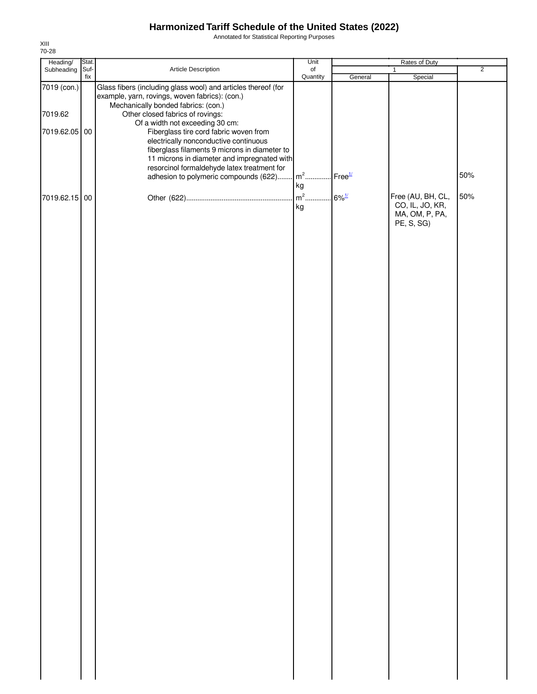Annotated for Statistical Reporting Purposes

| Heading/                                | Stat.       |                                                                                                                                                                                                                                                                                                                                                                                                                                                                                                                                            | Unit                                  |         | Rates of Duty                                                        |                |
|-----------------------------------------|-------------|--------------------------------------------------------------------------------------------------------------------------------------------------------------------------------------------------------------------------------------------------------------------------------------------------------------------------------------------------------------------------------------------------------------------------------------------------------------------------------------------------------------------------------------------|---------------------------------------|---------|----------------------------------------------------------------------|----------------|
| Subheading                              | Suf-<br>fix | Article Description                                                                                                                                                                                                                                                                                                                                                                                                                                                                                                                        | $_{\mathsf{of}}$<br>Quantity          | General | $\mathbf{1}$<br>Special                                              | $\overline{2}$ |
| 7019 (con.)<br>7019.62<br>7019.62.05 00 |             | Glass fibers (including glass wool) and articles thereof (for<br>example, yarn, rovings, woven fabrics): (con.)<br>Mechanically bonded fabrics: (con.)<br>Other closed fabrics of rovings:<br>Of a width not exceeding 30 cm:<br>Fiberglass tire cord fabric woven from<br>electrically nonconductive continuous<br>fiberglass filaments 9 microns in diameter to<br>11 microns in diameter and impregnated with<br>resorcinol formaldehyde latex treatment for<br>adhesion to polymeric compounds (622) m <sup>2</sup> Free <sup>1/</sup> | kg                                    |         |                                                                      | 50%            |
| 7019.62.15 00                           |             |                                                                                                                                                                                                                                                                                                                                                                                                                                                                                                                                            | m <sup>2</sup> 6% <sup>1/</sup><br>kg |         | Free (AU, BH, CL,<br>CO, IL, JO, KR,<br>MA, OM, P, PA,<br>PE, S, SG) | 50%            |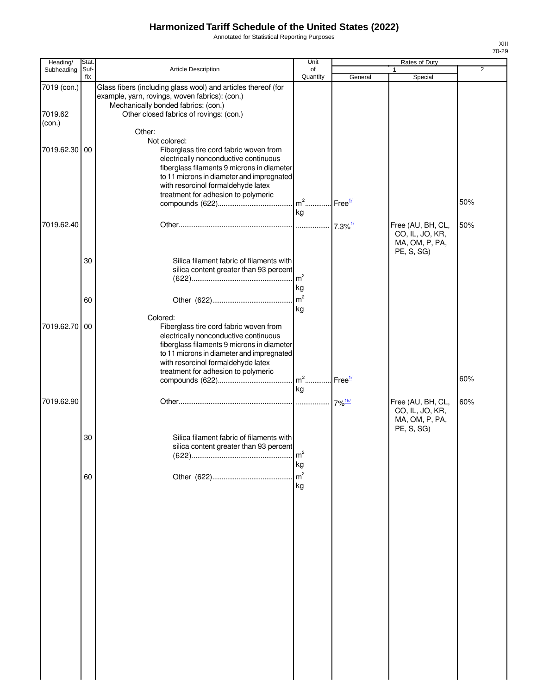Annotated for Statistical Reporting Purposes

| Heading/<br>Subheading           | Stat<br>Suf- | Article Description                                                                                                                                                                                                                                                     | Unit<br>of            |                    | Rates of Duty                                                        | $\overline{2}$ |
|----------------------------------|--------------|-------------------------------------------------------------------------------------------------------------------------------------------------------------------------------------------------------------------------------------------------------------------------|-----------------------|--------------------|----------------------------------------------------------------------|----------------|
|                                  | fix          |                                                                                                                                                                                                                                                                         | Quantity              | General            | Special                                                              |                |
| 7019 (con.)<br>7019.62<br>(con.) |              | Glass fibers (including glass wool) and articles thereof (for<br>example, yarn, rovings, woven fabrics): (con.)<br>Mechanically bonded fabrics: (con.)<br>Other closed fabrics of rovings: (con.)<br>Other:                                                             |                       |                    |                                                                      |                |
| 7019.62.30                       | 00           | Not colored:<br>Fiberglass tire cord fabric woven from<br>electrically nonconductive continuous<br>fiberglass filaments 9 microns in diameter<br>to 11 microns in diameter and impregnated<br>with resorcinol formaldehyde latex<br>treatment for adhesion to polymeric | kg                    |                    |                                                                      | 50%            |
| 7019.62.40                       |              |                                                                                                                                                                                                                                                                         |                       |                    | Free (AU, BH, CL,<br>CO, IL, JO, KR,<br>MA, OM, P, PA,<br>PE, S, SG) | 50%            |
|                                  | 30           | Silica filament fabric of filaments with<br>silica content greater than 93 percent                                                                                                                                                                                      | $\mathsf{Im}^2$<br>kg |                    |                                                                      |                |
|                                  | 60           | Colored:                                                                                                                                                                                                                                                                | $\mathsf{m}^2$<br>kg  |                    |                                                                      |                |
| 7019.62.70                       | 00           | Fiberglass tire cord fabric woven from<br>electrically nonconductive continuous<br>fiberglass filaments 9 microns in diameter<br>to 11 microns in diameter and impregnated<br>with resorcinol formaldehyde latex<br>treatment for adhesion to polymeric                 | $m2$                  | Free <sup>1/</sup> |                                                                      | 60%            |
| 7019.62.90                       |              |                                                                                                                                                                                                                                                                         | kg                    |                    | Free (AU, BH, CL,<br>CO, IL, JO, KR,<br>MA, OM, P, PA,               | 60%            |
|                                  | 30           | Silica filament fabric of filaments with<br>silica content greater than 93 percent                                                                                                                                                                                      | m <sup>2</sup><br>kg  |                    | PE, S, SG)                                                           |                |
|                                  | 60           |                                                                                                                                                                                                                                                                         | m <sup>2</sup><br>kg  |                    |                                                                      |                |
|                                  |              |                                                                                                                                                                                                                                                                         |                       |                    |                                                                      |                |
|                                  |              |                                                                                                                                                                                                                                                                         |                       |                    |                                                                      |                |
|                                  |              |                                                                                                                                                                                                                                                                         |                       |                    |                                                                      |                |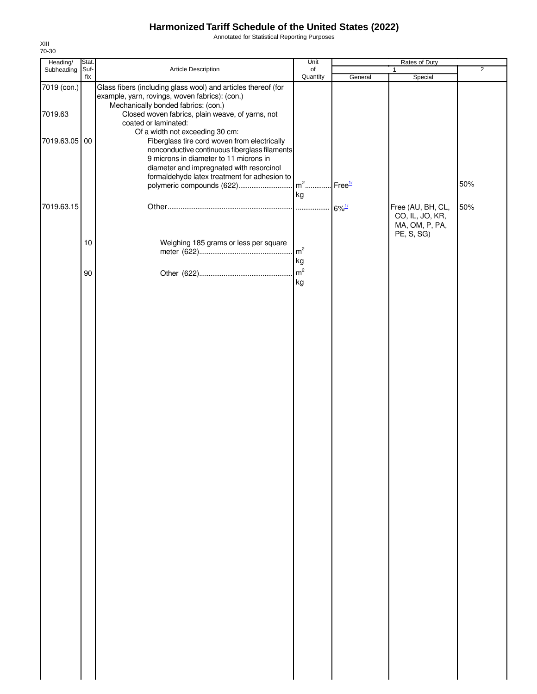Annotated for Statistical Reporting Purposes

| Heading/                                | Stat.       |                                                                                                                                                                                                                                                                                                                                                                                                                                                                                                                                           | Unit                       |                        | Rates of Duty                                                        |                |
|-----------------------------------------|-------------|-------------------------------------------------------------------------------------------------------------------------------------------------------------------------------------------------------------------------------------------------------------------------------------------------------------------------------------------------------------------------------------------------------------------------------------------------------------------------------------------------------------------------------------------|----------------------------|------------------------|----------------------------------------------------------------------|----------------|
| Subheading                              | Suf-<br>fix | Article Description                                                                                                                                                                                                                                                                                                                                                                                                                                                                                                                       | of<br>Quantity             | General                | 1<br>Special                                                         | $\overline{2}$ |
| 7019 (con.)<br>7019.63<br>7019.63.05 00 |             | Glass fibers (including glass wool) and articles thereof (for<br>example, yarn, rovings, woven fabrics): (con.)<br>Mechanically bonded fabrics: (con.)<br>Closed woven fabrics, plain weave, of yarns, not<br>coated or laminated:<br>Of a width not exceeding 30 cm:<br>Fiberglass tire cord woven from electrically<br>nonconductive continuous fiberglass filaments<br>9 microns in diameter to 11 microns in<br>diameter and impregnated with resorcinol<br>formaldehyde latex treatment for adhesion to<br>polymeric compounds (622) | $m2$<br>kg                 | $I$ Free $\frac{1}{l}$ |                                                                      | 50%            |
| 7019.63.15                              | $10$        | Weighing 185 grams or less per square                                                                                                                                                                                                                                                                                                                                                                                                                                                                                                     | $\rm{m}^2$                 | $6\%$ <sup>1/</sup>    | Free (AU, BH, CL,<br>CO, IL, JO, KR,<br>MA, OM, P, PA,<br>PE, S, SG) | 50%            |
|                                         | 90          |                                                                                                                                                                                                                                                                                                                                                                                                                                                                                                                                           | kg<br>m <sup>2</sup><br>kg |                        |                                                                      |                |
|                                         |             |                                                                                                                                                                                                                                                                                                                                                                                                                                                                                                                                           |                            |                        |                                                                      |                |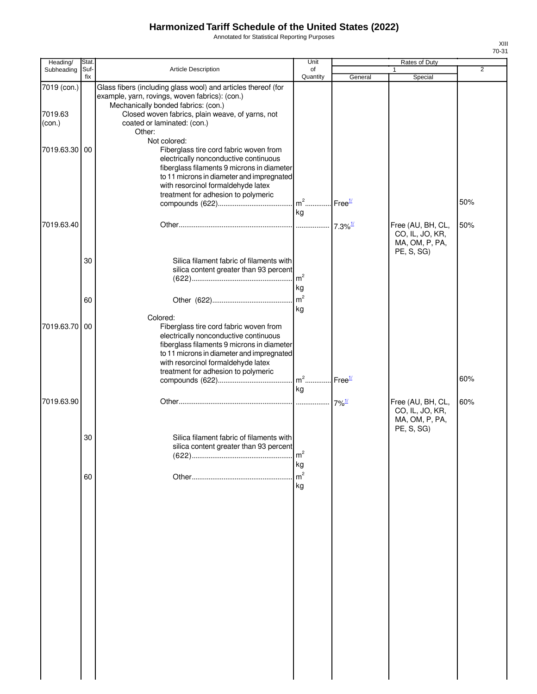Annotated for Statistical Reporting Purposes

| Heading/          | <b>Stat</b> |                                                                                                                                                                                                                                                                         | Unit                 |                     | Rates of Duty                                                        |                |
|-------------------|-------------|-------------------------------------------------------------------------------------------------------------------------------------------------------------------------------------------------------------------------------------------------------------------------|----------------------|---------------------|----------------------------------------------------------------------|----------------|
| Subheading        | Suf-        | Article Description                                                                                                                                                                                                                                                     | of                   |                     |                                                                      | $\overline{2}$ |
|                   | fix         |                                                                                                                                                                                                                                                                         | Quantity             | General             | Special                                                              |                |
| 7019 (con.)       |             | Glass fibers (including glass wool) and articles thereof (for<br>example, yarn, rovings, woven fabrics): (con.)<br>Mechanically bonded fabrics: (con.)                                                                                                                  |                      |                     |                                                                      |                |
| 7019.63<br>(con.) |             | Closed woven fabrics, plain weave, of yarns, not<br>coated or laminated: (con.)<br>Other:                                                                                                                                                                               |                      |                     |                                                                      |                |
| 7019.63.30        | 00          | Not colored:<br>Fiberglass tire cord fabric woven from<br>electrically nonconductive continuous<br>fiberglass filaments 9 microns in diameter<br>to 11 microns in diameter and impregnated<br>with resorcinol formaldehyde latex<br>treatment for adhesion to polymeric | kg                   |                     |                                                                      | 50%            |
| 7019.63.40        |             |                                                                                                                                                                                                                                                                         |                      |                     | Free (AU, BH, CL,<br>CO, IL, JO, KR,<br>MA, OM, P, PA,<br>PE, S, SG) | 50%            |
|                   | 30          | Silica filament fabric of filaments with<br>silica content greater than 93 percent                                                                                                                                                                                      | m <sup>2</sup><br>kg |                     |                                                                      |                |
|                   | 60          | Colored:                                                                                                                                                                                                                                                                | m <sup>2</sup><br>kg |                     |                                                                      |                |
| 7019.63.70        | 00          | Fiberglass tire cord fabric woven from<br>electrically nonconductive continuous<br>fiberglass filaments 9 microns in diameter<br>to 11 microns in diameter and impregnated<br>with resorcinol formaldehyde latex<br>treatment for adhesion to polymeric                 |                      |                     |                                                                      |                |
|                   |             |                                                                                                                                                                                                                                                                         | kg                   | Free <sup>1/</sup>  |                                                                      | 60%            |
| 7019.63.90        |             |                                                                                                                                                                                                                                                                         |                      | $7\%$ <sup>1/</sup> | Free (AU, BH, CL,<br>CO, IL, JO, KR,<br>MA, OM, P, PA,<br>PE, S, SG) | 60%            |
|                   | 30          | Silica filament fabric of filaments with<br>silica content greater than 93 percent                                                                                                                                                                                      | $\rm m^2$<br>kg      |                     |                                                                      |                |
|                   | 60          |                                                                                                                                                                                                                                                                         | m <sup>2</sup><br>kg |                     |                                                                      |                |
|                   |             |                                                                                                                                                                                                                                                                         |                      |                     |                                                                      |                |
|                   |             |                                                                                                                                                                                                                                                                         |                      |                     |                                                                      |                |
|                   |             |                                                                                                                                                                                                                                                                         |                      |                     |                                                                      |                |
|                   |             |                                                                                                                                                                                                                                                                         |                      |                     |                                                                      |                |
|                   |             |                                                                                                                                                                                                                                                                         |                      |                     |                                                                      |                |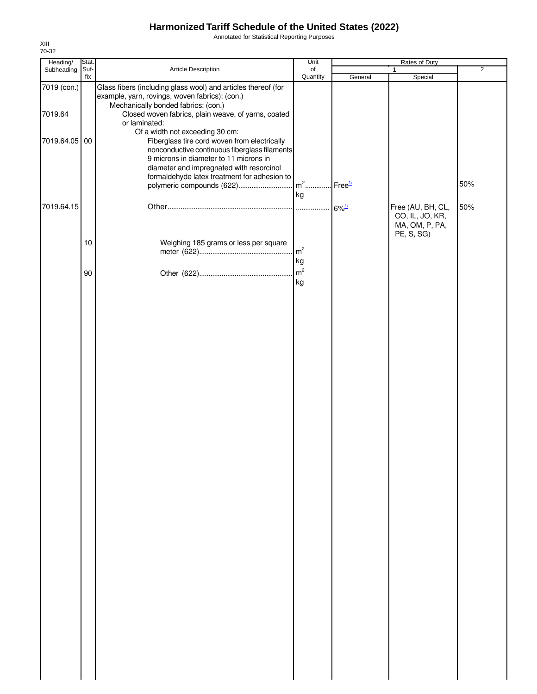Annotated for Statistical Reporting Purposes

| Heading/                                | Stat.       |                                                                                                                                                                                                                                                                                                                                                                                                                                                                                                                                       | Unit                       |                                  | Rates of Duty                                                        |                |
|-----------------------------------------|-------------|---------------------------------------------------------------------------------------------------------------------------------------------------------------------------------------------------------------------------------------------------------------------------------------------------------------------------------------------------------------------------------------------------------------------------------------------------------------------------------------------------------------------------------------|----------------------------|----------------------------------|----------------------------------------------------------------------|----------------|
| Subheading                              | Suf-<br>fix | Article Description                                                                                                                                                                                                                                                                                                                                                                                                                                                                                                                   | of<br>Quantity             | General                          | 1<br>Special                                                         | $\overline{2}$ |
| 7019 (con.)<br>7019.64<br>7019.64.05 00 |             | Glass fibers (including glass wool) and articles thereof (for<br>example, yarn, rovings, woven fabrics): (con.)<br>Mechanically bonded fabrics: (con.)<br>Closed woven fabrics, plain weave, of yarns, coated<br>or laminated:<br>Of a width not exceeding 30 cm:<br>Fiberglass tire cord woven from electrically<br>nonconductive continuous fiberglass filaments<br>9 microns in diameter to 11 microns in<br>diameter and impregnated with resorcinol<br>formaldehyde latex treatment for adhesion to<br>polymeric compounds (622) | $m2$<br>kg                 | Free <sup>1/</sup>               |                                                                      | 50%            |
| 7019.64.15                              | $10$        | Weighing 185 grams or less per square                                                                                                                                                                                                                                                                                                                                                                                                                                                                                                 | $\mathsf{m}^2$             | $6\%$ <sup><math>1/</math></sup> | Free (AU, BH, CL,<br>CO, IL, JO, KR,<br>MA, OM, P, PA,<br>PE, S, SG) | 50%            |
|                                         | 90          |                                                                                                                                                                                                                                                                                                                                                                                                                                                                                                                                       | kg<br>m <sup>2</sup><br>kg |                                  |                                                                      |                |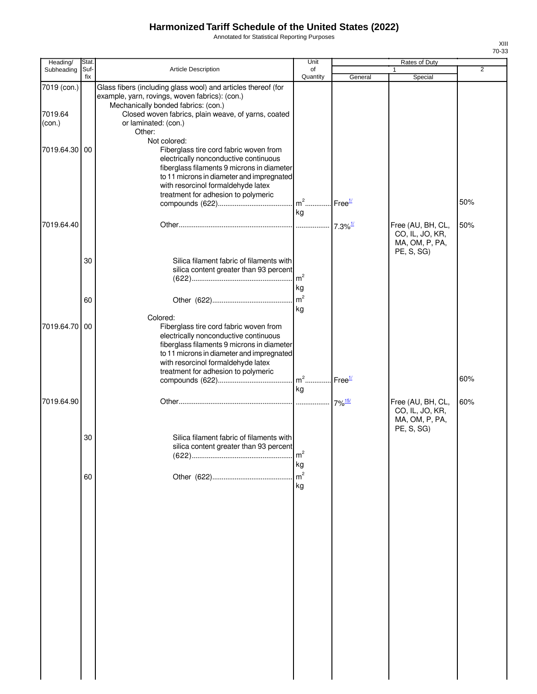Annotated for Statistical Reporting Purposes

| Heading/                         | Stat. |                                                                                                                                                                                                                                                                         | Unit                                    |         | Rates of Duty                                          |                |
|----------------------------------|-------|-------------------------------------------------------------------------------------------------------------------------------------------------------------------------------------------------------------------------------------------------------------------------|-----------------------------------------|---------|--------------------------------------------------------|----------------|
| Subheading                       | Suf-  | <b>Article Description</b>                                                                                                                                                                                                                                              | of                                      |         |                                                        | $\overline{2}$ |
|                                  | fix   |                                                                                                                                                                                                                                                                         | Quantity                                | General | Special                                                |                |
| 7019 (con.)<br>7019.64<br>(con.) |       | Glass fibers (including glass wool) and articles thereof (for<br>example, yarn, rovings, woven fabrics): (con.)<br>Mechanically bonded fabrics: (con.)<br>Closed woven fabrics, plain weave, of yarns, coated<br>or laminated: (con.)<br>Other:                         |                                         |         |                                                        |                |
| 7019.64.30 00                    |       | Not colored:<br>Fiberglass tire cord fabric woven from<br>electrically nonconductive continuous<br>fiberglass filaments 9 microns in diameter<br>to 11 microns in diameter and impregnated<br>with resorcinol formaldehyde latex<br>treatment for adhesion to polymeric | m <sup>2</sup> Free <sup>1/</sup><br>kg |         |                                                        | 50%            |
| 7019.64.40                       |       |                                                                                                                                                                                                                                                                         |                                         |         | Free (AU, BH, CL,<br>CO, IL, JO, KR,<br>MA, OM, P, PA, | 50%            |
|                                  | 30    | Silica filament fabric of filaments with<br>silica content greater than 93 percent                                                                                                                                                                                      | m <sup>2</sup><br>kg                    |         | PE, S, SG)                                             |                |
|                                  | 60    |                                                                                                                                                                                                                                                                         | m <sup>2</sup><br>kg                    |         |                                                        |                |
| 7019.64.70 00                    |       | Colored:<br>Fiberglass tire cord fabric woven from<br>electrically nonconductive continuous<br>fiberglass filaments 9 microns in diameter<br>to 11 microns in diameter and impregnated<br>with resorcinol formaldehyde latex<br>treatment for adhesion to polymeric     |                                         |         |                                                        |                |
|                                  |       |                                                                                                                                                                                                                                                                         | $m^2$ Free <sup>1/</sup><br>kg          |         |                                                        | 60%            |
| 7019.64.90                       |       |                                                                                                                                                                                                                                                                         |                                         |         | Free (AU, BH, CL,<br>CO, IL, JO, KR,<br>MA, OM, P, PA, | 60%            |
|                                  | 30    | Silica filament fabric of filaments with<br>silica content greater than 93 percent                                                                                                                                                                                      | m <sup>2</sup><br>kg                    |         | PE, S, SG)                                             |                |
|                                  | 60    |                                                                                                                                                                                                                                                                         | m <sup>2</sup><br>kg                    |         |                                                        |                |
|                                  |       |                                                                                                                                                                                                                                                                         |                                         |         |                                                        |                |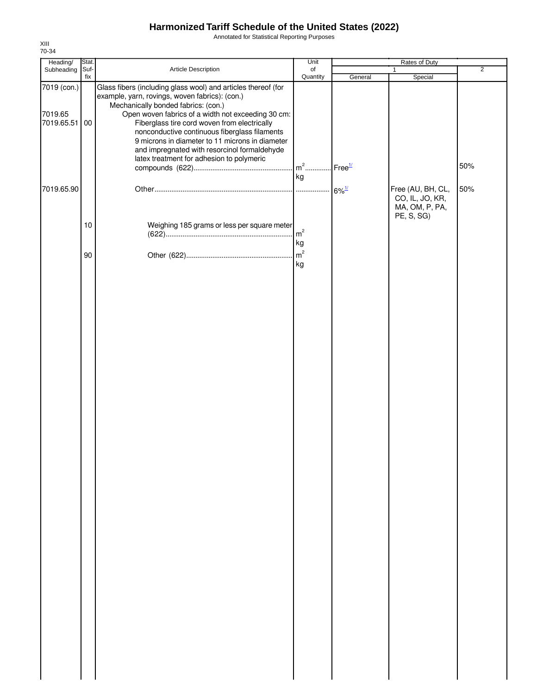Annotated for Statistical Reporting Purposes

| Heading/                                | Stat. |                                                                                                                                                                                                                                                                                                                                                                                                                                                               | Unit                                    |         | Rates of Duty                                                        |                |
|-----------------------------------------|-------|---------------------------------------------------------------------------------------------------------------------------------------------------------------------------------------------------------------------------------------------------------------------------------------------------------------------------------------------------------------------------------------------------------------------------------------------------------------|-----------------------------------------|---------|----------------------------------------------------------------------|----------------|
| Subheading Suf-                         | fix   | Article Description                                                                                                                                                                                                                                                                                                                                                                                                                                           | of<br>Quantity                          | General | 1<br>Special                                                         | $\overline{2}$ |
| 7019 (con.)<br>7019.65<br>7019.65.51 00 |       | Glass fibers (including glass wool) and articles thereof (for<br>example, yarn, rovings, woven fabrics): (con.)<br>Mechanically bonded fabrics: (con.)<br>Open woven fabrics of a width not exceeding 30 cm:<br>Fiberglass tire cord woven from electrically<br>nonconductive continuous fiberglass filaments<br>9 microns in diameter to 11 microns in diameter<br>and impregnated with resorcinol formaldehyde<br>latex treatment for adhesion to polymeric | m <sup>2</sup> Free <sup>1/</sup><br>kg |         |                                                                      | 50%            |
| 7019.65.90                              |       |                                                                                                                                                                                                                                                                                                                                                                                                                                                               |                                         |         | Free (AU, BH, CL,<br>CO, IL, JO, KR,<br>MA, OM, P, PA,<br>PE, S, SG) | 50%            |
|                                         | 10    | Weighing 185 grams or less per square meter                                                                                                                                                                                                                                                                                                                                                                                                                   | m <sup>2</sup><br>kg                    |         |                                                                      |                |
|                                         | 90    |                                                                                                                                                                                                                                                                                                                                                                                                                                                               | $\sqrt{m^2}$<br>kg                      |         |                                                                      |                |
|                                         |       |                                                                                                                                                                                                                                                                                                                                                                                                                                                               |                                         |         |                                                                      |                |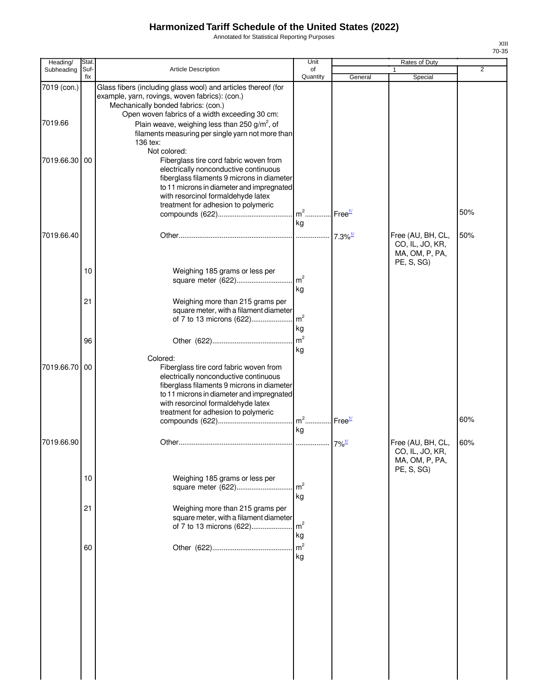Annotated for Statistical Reporting Purposes

| Heading/               | <b>Stat</b> |                                                                                                                                                                                                                                                                                                                                        | Unit                                    |         | Rates of Duty                                                        |     |
|------------------------|-------------|----------------------------------------------------------------------------------------------------------------------------------------------------------------------------------------------------------------------------------------------------------------------------------------------------------------------------------------|-----------------------------------------|---------|----------------------------------------------------------------------|-----|
| Subheading             | Suf-<br>fix | Article Description                                                                                                                                                                                                                                                                                                                    | of<br>Quantity                          | General | Special                                                              | 2   |
| 7019 (con.)<br>7019.66 |             | Glass fibers (including glass wool) and articles thereof (for<br>example, yarn, rovings, woven fabrics): (con.)<br>Mechanically bonded fabrics: (con.)<br>Open woven fabrics of a width exceeding 30 cm:<br>Plain weave, weighing less than 250 g/m <sup>2</sup> , of<br>filaments measuring per single yarn not more than<br>136 tex: |                                         |         |                                                                      |     |
| 7019.66.30             | 00          | Not colored:<br>Fiberglass tire cord fabric woven from<br>electrically nonconductive continuous<br>fiberglass filaments 9 microns in diameter<br>to 11 microns in diameter and impregnated<br>with resorcinol formaldehyde latex<br>treatment for adhesion to polymeric                                                                | m <sup>2</sup> Free <sup>1/</sup><br>kg |         |                                                                      | 50% |
| 7019.66.40             |             |                                                                                                                                                                                                                                                                                                                                        |                                         |         | Free (AU, BH, CL,<br>CO, IL, JO, KR,<br>MA, OM, P, PA,<br>PE, S, SG) | 50% |
|                        | 10          | Weighing 185 grams or less per                                                                                                                                                                                                                                                                                                         | kg                                      |         |                                                                      |     |
|                        | 21          | Weighing more than 215 grams per<br>square meter, with a filament diameter<br>of 7 to 13 microns (622)                                                                                                                                                                                                                                 | m <sup>2</sup><br>kg                    |         |                                                                      |     |
|                        | 96          |                                                                                                                                                                                                                                                                                                                                        | kg                                      |         |                                                                      |     |
| 7019.66.70             | 00          | Colored:<br>Fiberglass tire cord fabric woven from<br>electrically nonconductive continuous<br>fiberglass filaments 9 microns in diameter<br>to 11 microns in diameter and impregnated<br>with resorcinol formaldehyde latex<br>treatment for adhesion to polymeric                                                                    | kg                                      |         |                                                                      | 60% |
| 7019.66.90             |             |                                                                                                                                                                                                                                                                                                                                        |                                         |         | Free (AU, BH, CL,<br>CO, IL, JO, KR,<br>MA, OM, P, PA,               | 60% |
|                        | 10          | Weighing 185 grams or less per                                                                                                                                                                                                                                                                                                         | m <sup>2</sup><br>kg                    |         | PE, S, SG)                                                           |     |
|                        | 21          | Weighing more than 215 grams per<br>square meter, with a filament diameter<br>of 7 to 13 microns (622)                                                                                                                                                                                                                                 | m <sup>2</sup><br>kg                    |         |                                                                      |     |
|                        | 60          |                                                                                                                                                                                                                                                                                                                                        | m <sup>2</sup><br>kg                    |         |                                                                      |     |
|                        |             |                                                                                                                                                                                                                                                                                                                                        |                                         |         |                                                                      |     |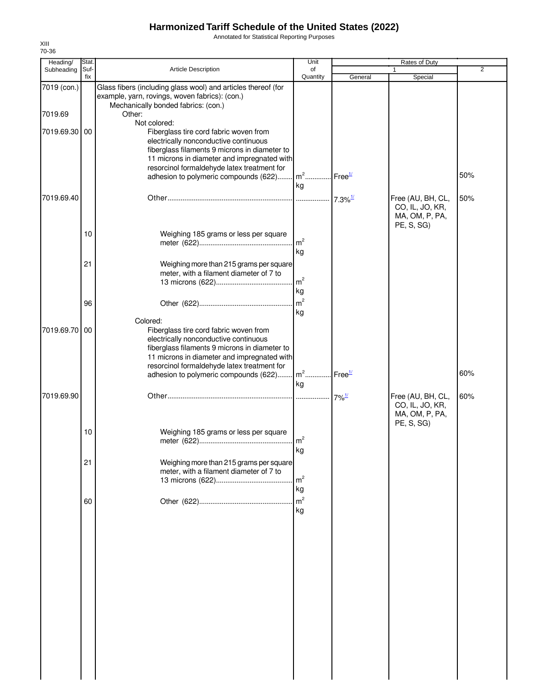Annotated for Statistical Reporting Purposes

| Heading/      | Stat.       |                                                                                                                 | Unit                                                  |               | Rates of Duty                                          |     |
|---------------|-------------|-----------------------------------------------------------------------------------------------------------------|-------------------------------------------------------|---------------|--------------------------------------------------------|-----|
| Subheading    | Suf-<br>fix | Article Description                                                                                             | of                                                    |               |                                                        | 2   |
| 7019 (con.)   |             | Glass fibers (including glass wool) and articles thereof (for<br>example, yarn, rovings, woven fabrics): (con.) | Quantity                                              | General       | Special                                                |     |
| 7019.69       |             | Mechanically bonded fabrics: (con.)<br>Other:                                                                   |                                                       |               |                                                        |     |
| 7019.69.30 00 |             | Not colored:<br>Fiberglass tire cord fabric woven from                                                          |                                                       |               |                                                        |     |
|               |             | electrically nonconductive continuous<br>fiberglass filaments 9 microns in diameter to                          |                                                       |               |                                                        |     |
|               |             | 11 microns in diameter and impregnated with<br>resorcinol formaldehyde latex treatment for                      |                                                       |               |                                                        | 50% |
|               |             | adhesion to polymeric compounds (622)                                                                           | $m2$ .<br>kg                                          | $I$ Free $1/$ |                                                        |     |
| 7019.69.40    |             |                                                                                                                 | $\frac{1}{2}$ 7.3% <sup>1/1</sup>                     |               | Free (AU, BH, CL,<br>CO, IL, JO, KR,                   | 50% |
|               | 10          |                                                                                                                 |                                                       |               | MA, OM, P, PA,<br>PE, S, SG)                           |     |
|               |             | Weighing 185 grams or less per square                                                                           | m <sup>2</sup><br>kg                                  |               |                                                        |     |
|               | 21          | Weighing more than 215 grams per square                                                                         |                                                       |               |                                                        |     |
|               |             | meter, with a filament diameter of 7 to                                                                         | m <sup>2</sup><br>kg                                  |               |                                                        |     |
|               | 96          |                                                                                                                 | m <sup>2</sup>                                        |               |                                                        |     |
| 7019.69.70 00 |             | Colored:<br>Fiberglass tire cord fabric woven from                                                              | kg                                                    |               |                                                        |     |
|               |             | electrically nonconductive continuous<br>fiberglass filaments 9 microns in diameter to                          |                                                       |               |                                                        |     |
|               |             | 11 microns in diameter and impregnated with<br>resorcinol formaldehyde latex treatment for                      |                                                       |               |                                                        |     |
|               |             | adhesion to polymeric compounds (622)                                                                           | $\lfloor m^2 \ldots \rfloor$ Free $\frac{1}{2}$<br>kg |               |                                                        | 60% |
| 7019.69.90    |             |                                                                                                                 |                                                       |               | Free (AU, BH, CL,<br>CO, IL, JO, KR,<br>MA, OM, P, PA, | 60% |
|               | 10          | Weighing 185 grams or less per square                                                                           | kg                                                    |               | PE, S, SG)                                             |     |
|               | 21          | Weighing more than 215 grams per square<br>meter, with a filament diameter of 7 to                              |                                                       |               |                                                        |     |
|               |             |                                                                                                                 | m <sup>2</sup><br>kg                                  |               |                                                        |     |
|               | 60          |                                                                                                                 | m <sup>2</sup><br>kg                                  |               |                                                        |     |
|               |             |                                                                                                                 |                                                       |               |                                                        |     |
|               |             |                                                                                                                 |                                                       |               |                                                        |     |
|               |             |                                                                                                                 |                                                       |               |                                                        |     |
|               |             |                                                                                                                 |                                                       |               |                                                        |     |
|               |             |                                                                                                                 |                                                       |               |                                                        |     |
|               |             |                                                                                                                 |                                                       |               |                                                        |     |
|               |             |                                                                                                                 |                                                       |               |                                                        |     |
|               |             |                                                                                                                 |                                                       |               |                                                        |     |
|               |             |                                                                                                                 |                                                       |               |                                                        |     |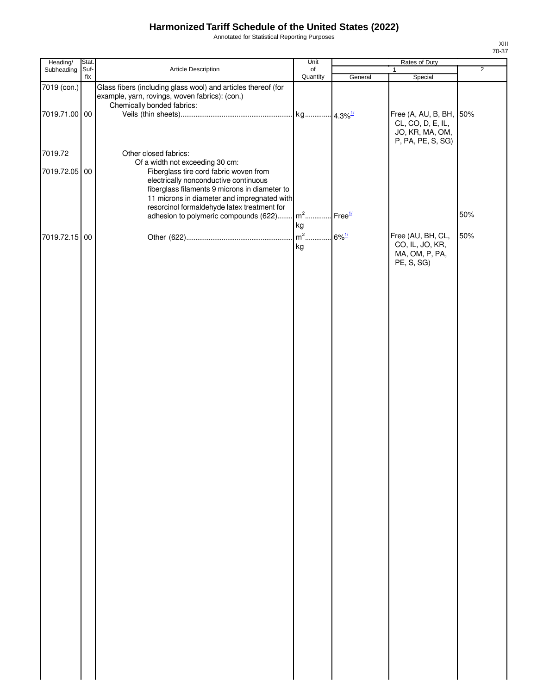Annotated for Statistical Reporting Purposes

| Heading/      | Stat.       |                                                                                                                                                                                                                                                                                                            | Unit                  |                     | Rates of Duty                                                                        |                |
|---------------|-------------|------------------------------------------------------------------------------------------------------------------------------------------------------------------------------------------------------------------------------------------------------------------------------------------------------------|-----------------------|---------------------|--------------------------------------------------------------------------------------|----------------|
| Subheading    | Suf-<br>fix | Article Description                                                                                                                                                                                                                                                                                        | $\circ$ f<br>Quantity | General             | $\mathbf{1}$<br>Special                                                              | $\overline{2}$ |
| 7019 (con.)   |             | Glass fibers (including glass wool) and articles thereof (for<br>example, yarn, rovings, woven fabrics): (con.)<br>Chemically bonded fabrics:                                                                                                                                                              |                       |                     |                                                                                      |                |
| 7019.71.00 00 |             |                                                                                                                                                                                                                                                                                                            |                       |                     | Free (A, AU, B, BH, 50%<br>CL, CO, D, E, IL,<br>JO, KR, MA, OM,<br>P, PA, PE, S, SG) |                |
| 7019.72       |             | Other closed fabrics:                                                                                                                                                                                                                                                                                      |                       |                     |                                                                                      |                |
| 7019.72.05 00 |             | Of a width not exceeding 30 cm:<br>Fiberglass tire cord fabric woven from<br>electrically nonconductive continuous<br>fiberglass filaments 9 microns in diameter to<br>11 microns in diameter and impregnated with<br>resorcinol formaldehyde latex treatment for<br>adhesion to polymeric compounds (622) | $m2$<br>kg            | Free <sup>1/</sup>  |                                                                                      | 50%            |
| 7019.72.15 00 |             |                                                                                                                                                                                                                                                                                                            | $m^2$                 | $6\%$ <sup>1/</sup> | Free (AU, BH, CL,                                                                    | 50%            |
|               |             |                                                                                                                                                                                                                                                                                                            | kg                    |                     | CO, IL, JO, KR,<br>MA, OM, P, PA,<br>PE, S, SG)                                      |                |
|               |             |                                                                                                                                                                                                                                                                                                            |                       |                     |                                                                                      |                |
|               |             |                                                                                                                                                                                                                                                                                                            |                       |                     |                                                                                      |                |
|               |             |                                                                                                                                                                                                                                                                                                            |                       |                     |                                                                                      |                |
|               |             |                                                                                                                                                                                                                                                                                                            |                       |                     |                                                                                      |                |
|               |             |                                                                                                                                                                                                                                                                                                            |                       |                     |                                                                                      |                |
|               |             |                                                                                                                                                                                                                                                                                                            |                       |                     |                                                                                      |                |
|               |             |                                                                                                                                                                                                                                                                                                            |                       |                     |                                                                                      |                |
|               |             |                                                                                                                                                                                                                                                                                                            |                       |                     |                                                                                      |                |
|               |             |                                                                                                                                                                                                                                                                                                            |                       |                     |                                                                                      |                |
|               |             |                                                                                                                                                                                                                                                                                                            |                       |                     |                                                                                      |                |
|               |             |                                                                                                                                                                                                                                                                                                            |                       |                     |                                                                                      |                |
|               |             |                                                                                                                                                                                                                                                                                                            |                       |                     |                                                                                      |                |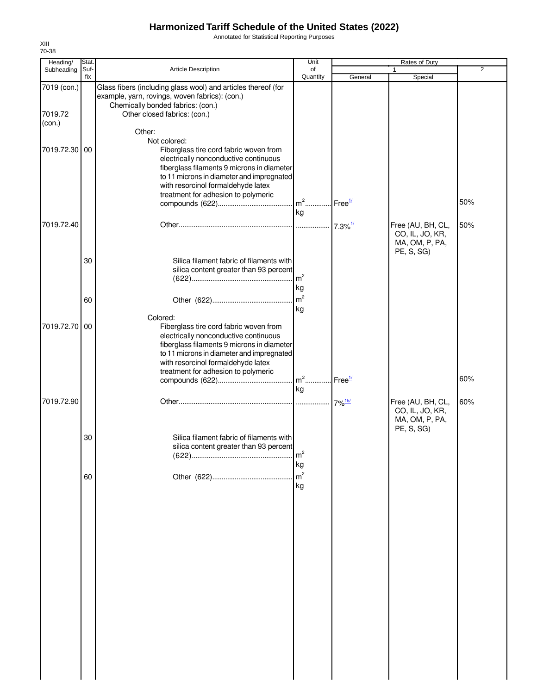Annotated for Statistical Reporting Purposes

| Heading/                         | Stat.       |                                                                                                                                                                                                                                                         | Unit                   |                        | Rates of Duty                                                        |                |
|----------------------------------|-------------|---------------------------------------------------------------------------------------------------------------------------------------------------------------------------------------------------------------------------------------------------------|------------------------|------------------------|----------------------------------------------------------------------|----------------|
| Subheading                       | Suf-<br>fix | Article Description                                                                                                                                                                                                                                     | of<br>Quantity         | General                | Special                                                              | $\overline{2}$ |
| 7019 (con.)<br>7019.72<br>(con.) |             | Glass fibers (including glass wool) and articles thereof (for<br>example, yarn, rovings, woven fabrics): (con.)<br>Chemically bonded fabrics: (con.)<br>Other closed fabrics: (con.)                                                                    |                        |                        |                                                                      |                |
| 7019.72.30 00                    |             | Other:<br>Not colored:<br>Fiberglass tire cord fabric woven from<br>electrically nonconductive continuous                                                                                                                                               |                        |                        |                                                                      |                |
|                                  |             | fiberglass filaments 9 microns in diameter<br>to 11 microns in diameter and impregnated<br>with resorcinol formaldehyde latex<br>treatment for adhesion to polymeric                                                                                    | kg                     | $I$ Free $\frac{1}{2}$ |                                                                      | 50%            |
| 7019.72.40                       |             |                                                                                                                                                                                                                                                         |                        |                        | Free (AU, BH, CL,<br>CO, IL, JO, KR,<br>MA, OM, P, PA,<br>PE, S, SG) | 50%            |
|                                  | 30          | Silica filament fabric of filaments with<br>silica content greater than 93 percent                                                                                                                                                                      | $\cdot \mid m^2$<br>kg |                        |                                                                      |                |
|                                  | 60          | Colored:                                                                                                                                                                                                                                                | m <sup>2</sup><br>kg   |                        |                                                                      |                |
| 7019.72.70                       | 00          | Fiberglass tire cord fabric woven from<br>electrically nonconductive continuous<br>fiberglass filaments 9 microns in diameter<br>to 11 microns in diameter and impregnated<br>with resorcinol formaldehyde latex<br>treatment for adhesion to polymeric |                        |                        |                                                                      |                |
|                                  |             |                                                                                                                                                                                                                                                         | kg                     |                        |                                                                      | 60%            |
| 7019.72.90                       |             |                                                                                                                                                                                                                                                         |                        |                        | Free (AU, BH, CL,<br>CO, IL, JO, KR,<br>MA, OM, P, PA,<br>PE, S, SG) | 60%            |
|                                  | 30          | Silica filament fabric of filaments with<br>silica content greater than 93 percent                                                                                                                                                                      | m <sup>2</sup><br>kg   |                        |                                                                      |                |
|                                  | 60          |                                                                                                                                                                                                                                                         | m <sup>2</sup><br>kg   |                        |                                                                      |                |
|                                  |             |                                                                                                                                                                                                                                                         |                        |                        |                                                                      |                |
|                                  |             |                                                                                                                                                                                                                                                         |                        |                        |                                                                      |                |
|                                  |             |                                                                                                                                                                                                                                                         |                        |                        |                                                                      |                |
|                                  |             |                                                                                                                                                                                                                                                         |                        |                        |                                                                      |                |
|                                  |             |                                                                                                                                                                                                                                                         |                        |                        |                                                                      |                |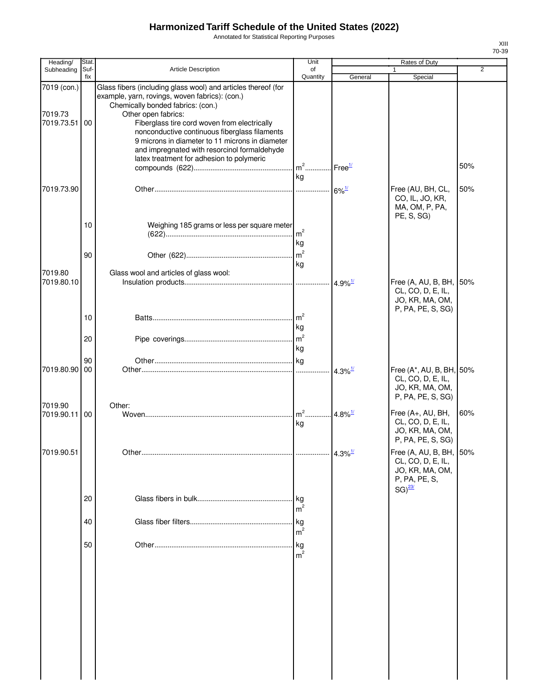Annotated for Statistical Reporting Purposes

| Heading/                             | Stat.       |                                                                                                                                                                                                                                                                                                                                 | Unit                   |                       | Rates of Duty                                                                                    |                |  |
|--------------------------------------|-------------|---------------------------------------------------------------------------------------------------------------------------------------------------------------------------------------------------------------------------------------------------------------------------------------------------------------------------------|------------------------|-----------------------|--------------------------------------------------------------------------------------------------|----------------|--|
| Subheading                           | Suf-<br>fix | <b>Article Description</b>                                                                                                                                                                                                                                                                                                      | of<br>Quantity         | General               | $\mathbf{1}$<br>Special                                                                          | $\overline{2}$ |  |
| 7019 (con.)<br>7019.73<br>7019.73.51 | 00          | Glass fibers (including glass wool) and articles thereof (for<br>example, yarn, rovings, woven fabrics): (con.)<br>Chemically bonded fabrics: (con.)<br>Other open fabrics:<br>Fiberglass tire cord woven from electrically<br>nonconductive continuous fiberglass filaments<br>9 microns in diameter to 11 microns in diameter |                        |                       |                                                                                                  |                |  |
|                                      |             | and impregnated with resorcinol formaldehyde<br>latex treatment for adhesion to polymeric                                                                                                                                                                                                                                       | $m^2$<br>kg            | Free <sup>1/</sup>    |                                                                                                  | 50%            |  |
| 7019.73.90                           |             |                                                                                                                                                                                                                                                                                                                                 |                        | $6\%$ <sup>1/</sup>   | Free (AU, BH, CL,<br>CO, IL, JO, KR,<br>MA, OM, P, PA,<br>PE, S, SG)                             | 50%            |  |
|                                      | 10          | Weighing 185 grams or less per square meter                                                                                                                                                                                                                                                                                     | kg                     |                       |                                                                                                  |                |  |
| 7019.80                              | 90          | Glass wool and articles of glass wool:                                                                                                                                                                                                                                                                                          | m <sup>2</sup><br>kg   |                       |                                                                                                  |                |  |
| 7019.80.10                           |             |                                                                                                                                                                                                                                                                                                                                 |                        | $4.9\%$ <sup>1/</sup> | Free (A, AU, B, BH, 50%<br>CL, CO, D, E, IL,<br>JO, KR, MA, OM,<br>P, PA, PE, S, SG)             |                |  |
|                                      | 10<br>20    |                                                                                                                                                                                                                                                                                                                                 | m <sup>2</sup><br>kg   |                       |                                                                                                  |                |  |
|                                      | 90          |                                                                                                                                                                                                                                                                                                                                 | kg                     |                       |                                                                                                  |                |  |
| 7019.80.90                           | 00          |                                                                                                                                                                                                                                                                                                                                 |                        | $4.3\%$ <sup>1/</sup> | Free (A*, AU, B, BH, 50%<br>CL, CO, D, E, IL,<br>JO, KR, MA, OM,<br>P, PA, PE, S, SG)            |                |  |
| 7019.90<br>7019.90.11                | 00          | Other:                                                                                                                                                                                                                                                                                                                          | $m2$<br>kg             | 4.8% $\frac{1}{2}$    | Free (A+, AU, BH,<br>CL, CO, D, E, IL,<br>JO, KR, MA, OM,<br>P, PA, PE, S, SG)                   | 60%            |  |
| 7019.90.51                           |             |                                                                                                                                                                                                                                                                                                                                 |                        |                       | Free (A, AU, B, BH, 50%<br>CL, CO, D, E, IL,<br>JO, KR, MA, OM,<br>P, PA, PE, S,<br>$SG)^{23/2}$ |                |  |
|                                      | 20          |                                                                                                                                                                                                                                                                                                                                 | m <sup>2</sup>         |                       |                                                                                                  |                |  |
|                                      | 40          |                                                                                                                                                                                                                                                                                                                                 | m <sup>2</sup>         |                       |                                                                                                  |                |  |
|                                      | 50          |                                                                                                                                                                                                                                                                                                                                 | .lkg<br>m <sup>2</sup> |                       |                                                                                                  |                |  |
|                                      |             |                                                                                                                                                                                                                                                                                                                                 |                        |                       |                                                                                                  |                |  |
|                                      |             |                                                                                                                                                                                                                                                                                                                                 |                        |                       |                                                                                                  |                |  |
|                                      |             |                                                                                                                                                                                                                                                                                                                                 |                        |                       |                                                                                                  |                |  |
|                                      |             |                                                                                                                                                                                                                                                                                                                                 |                        |                       |                                                                                                  |                |  |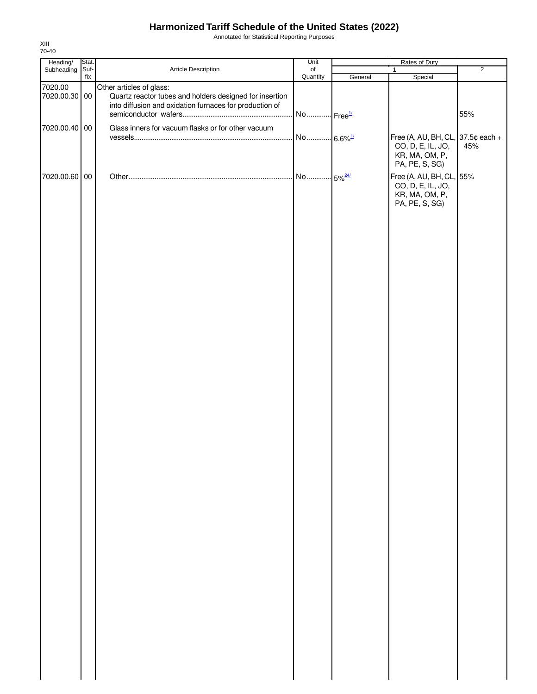Annotated for Statistical Reporting Purposes

| Heading/                 | Stat. |                                                                                                                                                | Unit                  | Rates of Duty |                                                                                            |                |
|--------------------------|-------|------------------------------------------------------------------------------------------------------------------------------------------------|-----------------------|---------------|--------------------------------------------------------------------------------------------|----------------|
| Subheading               | Suf-  | Article Description                                                                                                                            | of                    |               | $\mathbf{1}$                                                                               | $\overline{2}$ |
|                          | fix   |                                                                                                                                                | Quantity              | General       | Special                                                                                    |                |
| 7020.00<br>7020.00.30 00 |       | Other articles of glass:<br>Quartz reactor tubes and holders designed for insertion<br>into diffusion and oxidation furnaces for production of |                       |               |                                                                                            |                |
|                          |       |                                                                                                                                                | No Free <sup>1/</sup> |               |                                                                                            | 55%            |
| 7020.00.40 00            |       | Glass inners for vacuum flasks or for other vacuum                                                                                             |                       |               |                                                                                            |                |
|                          |       |                                                                                                                                                | No 6.6% <sup>1/</sup> |               | Free (A, AU, BH, CL, 37.5¢ each +<br>CO, D, E, IL, JO,<br>KR, MA, OM, P,<br>PA, PE, S, SG) | 45%            |
| 7020.00.60 00            |       |                                                                                                                                                |                       |               | Free (A, AU, BH, CL, 55%<br>CO, D, E, IL, JO,<br>KR, MA, OM, P,<br>PA, PE, S, SG)          |                |
|                          |       |                                                                                                                                                |                       |               |                                                                                            |                |
|                          |       |                                                                                                                                                |                       |               |                                                                                            |                |
|                          |       |                                                                                                                                                |                       |               |                                                                                            |                |
|                          |       |                                                                                                                                                |                       |               |                                                                                            |                |
|                          |       |                                                                                                                                                |                       |               |                                                                                            |                |
|                          |       |                                                                                                                                                |                       |               |                                                                                            |                |
|                          |       |                                                                                                                                                |                       |               |                                                                                            |                |
|                          |       |                                                                                                                                                |                       |               |                                                                                            |                |
|                          |       |                                                                                                                                                |                       |               |                                                                                            |                |
|                          |       |                                                                                                                                                |                       |               |                                                                                            |                |
|                          |       |                                                                                                                                                |                       |               |                                                                                            |                |